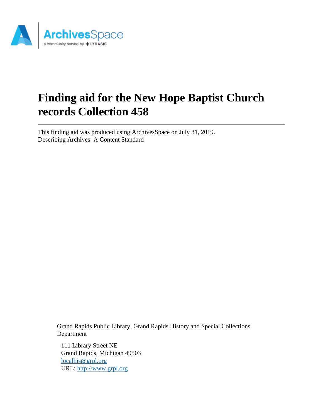

# **Finding aid for the New Hope Baptist Church records Collection 458**

This finding aid was produced using ArchivesSpace on July 31, 2019. Describing Archives: A Content Standard

> Grand Rapids Public Library, Grand Rapids History and Special Collections Department

111 Library Street NE Grand Rapids, Michigan 49503 [localhis@grpl.org](mailto:localhis@grpl.org) URL:<http://www.grpl.org>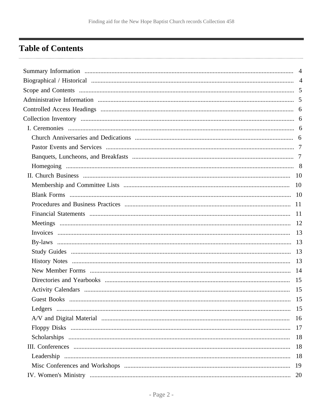# <span id="page-1-0"></span>**Table of Contents**

| Guest Books | -15 |
|-------------|-----|
|             |     |
|             |     |
|             |     |
|             |     |
|             |     |
|             |     |
|             |     |
|             |     |
|             |     |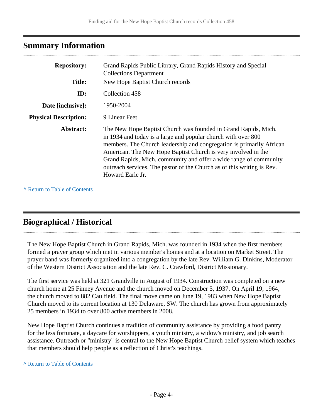### <span id="page-3-0"></span>**Summary Information**

| <b>Repository:</b>                               | Grand Rapids Public Library, Grand Rapids History and Special<br><b>Collections Department</b>                                                                                                                                                                                                                                                                                                                                              |  |  |
|--------------------------------------------------|---------------------------------------------------------------------------------------------------------------------------------------------------------------------------------------------------------------------------------------------------------------------------------------------------------------------------------------------------------------------------------------------------------------------------------------------|--|--|
| New Hope Baptist Church records<br><b>Title:</b> |                                                                                                                                                                                                                                                                                                                                                                                                                                             |  |  |
| ID:                                              | Collection 458                                                                                                                                                                                                                                                                                                                                                                                                                              |  |  |
| Date [inclusive]:                                | 1950-2004                                                                                                                                                                                                                                                                                                                                                                                                                                   |  |  |
| <b>Physical Description:</b>                     | 9 Linear Feet                                                                                                                                                                                                                                                                                                                                                                                                                               |  |  |
| Abstract:                                        | The New Hope Baptist Church was founded in Grand Rapids, Mich.<br>in 1934 and today is a large and popular church with over 800<br>members. The Church leadership and congregation is primarily African<br>American. The New Hope Baptist Church is very involved in the<br>Grand Rapids, Mich. community and offer a wide range of community<br>outreach services. The pastor of the Church as of this writing is Rev.<br>Howard Earle Jr. |  |  |

**^** [Return to Table of Contents](#page-1-0)

### <span id="page-3-1"></span>**Biographical / Historical**

The New Hope Baptist Church in Grand Rapids, Mich. was founded in 1934 when the first members formed a prayer group which met in various member's homes and at a location on Market Street. The prayer band was formerly organized into a congregation by the late Rev. William G. Dinkins, Moderator of the Western District Association and the late Rev. C. Crawford, District Missionary.

The first service was held at 321 Grandville in August of 1934. Construction was completed on a new church home at 25 Finney Avenue and the church moved on December 5, 1937. On April 19, 1964, the church moved to 882 Caulfield. The final move came on June 19, 1983 when New Hope Baptist Church moved to its current location at 130 Delaware, SW. The church has grown from approximately 25 members in 1934 to over 800 active members in 2008.

New Hope Baptist Church continues a tradition of community assistance by providing a food pantry for the less fortunate, a daycare for worshippers, a youth ministry, a widow's ministry, and job search assistance. Outreach or "ministry" is central to the New Hope Baptist Church belief system which teaches that members should help people as a reflection of Christ's teachings.

#### **^** [Return to Table of Contents](#page-1-0)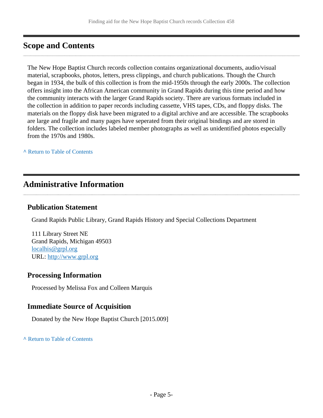# <span id="page-4-0"></span>**Scope and Contents**

The New Hope Baptist Church records collection contains organizational documents, audio/visual material, scrapbooks, photos, letters, press clippings, and church publications. Though the Church began in 1934, the bulk of this collection is from the mid-1950s through the early 2000s. The collection offers insight into the African American community in Grand Rapids during this time period and how the community interacts with the larger Grand Rapids society. There are various formats included in the collection in addition to paper records including cassette, VHS tapes, CDs, and floppy disks. The materials on the floppy disk have been migrated to a digital archive and are accessible. The scrapbooks are large and fragile and many pages have seperated from their original bindings and are stored in folders. The collection includes labeled member photographs as well as unidentified photos especially from the 1970s and 1980s.

**^** [Return to Table of Contents](#page-1-0)

## <span id="page-4-1"></span>**Administrative Information**

### **Publication Statement**

Grand Rapids Public Library, Grand Rapids History and Special Collections Department

111 Library Street NE Grand Rapids, Michigan 49503 [localhis@grpl.org](mailto:localhis@grpl.org) URL:<http://www.grpl.org>

### **Processing Information**

Processed by Melissa Fox and Colleen Marquis

### **Immediate Source of Acquisition**

Donated by the New Hope Baptist Church [2015.009]

**^** [Return to Table of Contents](#page-1-0)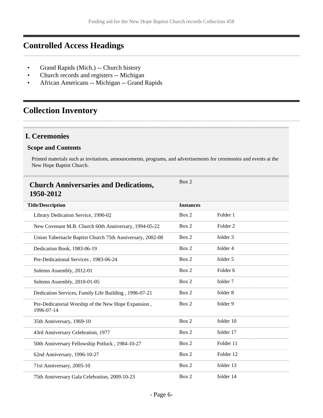# <span id="page-5-0"></span>**Controlled Access Headings**

- Grand Rapids (Mich.) -- Church history
- Church records and registers -- Michigan
- African Americans -- Michigan -- Grand Rapids

# <span id="page-5-1"></span>**Collection Inventory**

### <span id="page-5-2"></span>**I. Ceremonies**

#### **Scope and Contents**

Printed materials such as invitations, announcements, programs, and advertisements for ceremonies and events at the New Hope Baptist Church.

<span id="page-5-3"></span>

| <b>Church Anniversaries and Dedications,</b><br>1950-2012         | Box 2            |                     |
|-------------------------------------------------------------------|------------------|---------------------|
| <b>Title/Description</b>                                          | <b>Instances</b> |                     |
| Library Dedication Service, 1990-02                               | Box 2            | Folder 1            |
| New Covenant M.B. Church 60th Anniversary, 1994-05-22             | Box 2            | Folder <sub>2</sub> |
| Union Tabernacle Baptist Church 75th Anniversary, 2002-08         | Box 2            | folder 3            |
| Dedication Book, 1983-06-19                                       | Box 2            | folder 4            |
| Pre-Dedicational Services, 1983-06-24                             | Box 2            | folder 5            |
| Solemn Assembly, 2012-01                                          | Box 2            | Folder <sub>6</sub> |
| Solemn Assembly, 2010-01-05                                       | Box 2            | folder 7            |
| Dedication Services, Family Life Building, 1996-07-21             | Box 2            | folder 8            |
| Pre-Dedicatorial Worship of the New Hope Expansion,<br>1996-07-14 | Box 2            | folder 9            |
| 35th Anniversary, 1969-10                                         | Box 2            | folder 10           |
| 43rd Anniversary Celebration, 1977                                | Box 2            | folder 17           |
| 50th Anniversary Fellowship Potluck, 1984-10-27                   | Box 2            | Folder 11           |
| 62nd Anniversary, 1996-10-27                                      | Box 2            | Folder 12           |
| 71st Anniversary, 2005-10                                         | Box 2            | folder 13           |
| 75th Anniversary Gala Celebration, 2009-10-23                     | Box 2            | folder 14           |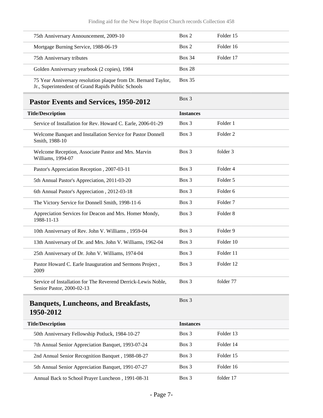<span id="page-6-1"></span><span id="page-6-0"></span>

| 75th Anniversary Announcement, 2009-10                                                                               | Box 2            | Folder 15           |
|----------------------------------------------------------------------------------------------------------------------|------------------|---------------------|
| Mortgage Burning Service, 1988-06-19                                                                                 | Box 2            | Folder 16           |
| 75th Anniversary tributes                                                                                            | <b>Box 34</b>    | Folder 17           |
| Golden Anniversary yearbook (2 copies), 1984                                                                         | <b>Box 28</b>    |                     |
| 75 Year Anniversary resolution plaque from Dr. Bernard Taylor,<br>Jr., Superintendent of Grand Rapids Public Schools | <b>Box 35</b>    |                     |
| Pastor Events and Services, 1950-2012                                                                                | Box 3            |                     |
| <b>Title/Description</b>                                                                                             | <b>Instances</b> |                     |
| Service of Installation for Rev. Howard C. Earle, 2006-01-29                                                         | Box 3            | Folder 1            |
| Welcome Banquet and Installation Service for Pastor Donnell<br>Smith, 1988-10                                        | Box 3            | Folder <sub>2</sub> |
| Welcome Reception, Associate Pastor and Mrs. Marvin<br>Williams, 1994-07                                             | Box 3            | folder 3            |
| Pastor's Appreciation Reception, 2007-03-11                                                                          | Box 3            | Folder 4            |
| 5th Annual Pastor's Appreciation, 2011-03-20                                                                         | Box 3            | Folder 5            |
| 6th Annual Pastor's Appreciation, 2012-03-18                                                                         | $Box$ 3          | Folder <sub>6</sub> |
| The Victory Service for Donnell Smith, 1998-11-6                                                                     | Box 3            | Folder <sub>7</sub> |
| Appreciation Services for Deacon and Mrs. Homer Mondy,<br>1988-11-13                                                 | Box 3            | Folder <sub>8</sub> |
| 10th Anniversary of Rev. John V. Williams, 1959-04                                                                   | Box 3            | Folder 9            |
| 13th Anniversary of Dr. and Mrs. John V. Williams, 1962-04                                                           | Box 3            | Folder 10           |
| 25th Anniversary of Dr. John V. Williams, 1974-04                                                                    | Box 3            | Folder 11           |
| Pastor Howard C. Earle Inauguration and Sermons Project,<br>2009                                                     | Box 3            | Folder 12           |
| Service of Installation for The Reverend Derrick-Lewis Noble,<br>Senior Pastor, 2000-02-13                           | Box 3            | folder 77           |
| <b>Banquets, Luncheons, and Breakfasts,</b><br>1950-2012                                                             | Box 3            |                     |
| <b>Title/Description</b>                                                                                             | <b>Instances</b> |                     |
| 50th Anniversary Fellowship Potluck, 1984-10-27                                                                      | Box 3            | Folder 13           |
| 7th Annual Senior Appreciation Banquet, 1993-07-24                                                                   | Box 3            | Folder 14           |
| 2nd Annual Senior Recognition Banquet, 1988-08-27                                                                    | Box 3            | Folder 15           |
| 5th Annual Senior Appreciation Banquet, 1991-07-27                                                                   | Box 3            | Folder 16           |
| Annual Back to School Prayer Luncheon, 1991-08-31                                                                    | Box 3            | folder 17           |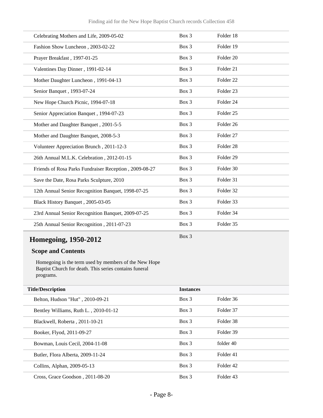| Celebrating Mothers and Life, 2009-05-02               | Box 3 | Folder 18            |  |
|--------------------------------------------------------|-------|----------------------|--|
| Fashion Show Luncheon, 2003-02-22                      | Box 3 | Folder 19            |  |
| Prayer Breakfast, 1997-01-25                           | Box 3 | Folder 20            |  |
| Valentines Day Dinner, 1991-02-14                      | Box 3 | Folder 21            |  |
| Mother Daughter Luncheon, 1991-04-13                   | Box 3 | Folder <sub>22</sub> |  |
| Senior Banquet, 1993-07-24                             | Box 3 | Folder <sub>23</sub> |  |
| New Hope Church Picnic, 1994-07-18                     | Box 3 | Folder <sub>24</sub> |  |
| Senior Appreciation Banquet, 1994-07-23                | Box 3 | Folder <sub>25</sub> |  |
| Mother and Daughter Banquet, 2001-5-5                  | Box 3 | Folder <sub>26</sub> |  |
| Mother and Daughter Banquet, 2008-5-3                  | Box 3 | Folder 27            |  |
| Volunteer Appreciation Brunch, 2011-12-3               | Box 3 | Folder <sub>28</sub> |  |
| 26th Annual M.L.K. Celebration, 2012-01-15             | Box 3 | Folder <sub>29</sub> |  |
| Friends of Rosa Parks Fundraiser Reception, 2009-08-27 | Box 3 | Folder 30            |  |
| Save the Date, Rosa Parks Sculpture, 2010              | Box 3 | Folder 31            |  |
| 12th Annual Senior Recognition Banquet, 1998-07-25     | Box 3 | Folder 32            |  |
| Black History Banquet, 2005-03-05                      | Box 3 | Folder 33            |  |
| 23rd Annual Senior Recognition Banquet, 2009-07-25     | Box 3 | Folder 34            |  |
| 25th Annual Senior Recognition, 2011-07-23             | Box 3 | Folder 35            |  |
|                                                        |       |                      |  |

# <span id="page-7-0"></span>**Homegoing, 1950-2012**

Box 3

#### **Scope and Contents**

Homegoing is the term used by members of the New Hope Baptist Church for death. This series contains funeral programs.

| <b>Title/Description</b>              | <b>Instances</b> |           |
|---------------------------------------|------------------|-----------|
| Belton, Hudson "Hut", 2010-09-21      | Box 3            | Folder 36 |
| Bentley Williams, Ruth L., 2010-01-12 | Box 3            | Folder 37 |
| Blackwell, Roberta, 2011-10-21        | $Box$ 3          | Folder 38 |
| Booker, Flyod, 2011-09-27             | Box 3            | Folder 39 |
| Bowman, Louis Cecil, 2004-11-08       | Box 3            | folder 40 |
| Butler, Flora Alberta, 2009-11-24     | $Box$ 3          | Folder 41 |
| Collins, Alphan, 2009-05-13           | $Box$ 3          | Folder 42 |
| Cross, Grace Goodson, 2011-08-20      | Box 3            | Folder 43 |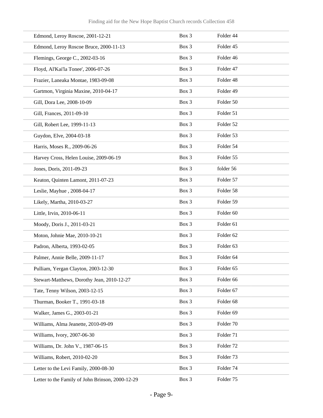| Edmond, Leroy Roscoe, 2001-12-21                 | Box 3 | Folder 44            |
|--------------------------------------------------|-------|----------------------|
| Edmond, Leroy Roscoe Bruce, 2000-11-13           | Box 3 | Folder 45            |
| Flemings, George C., 2002-03-16                  | Box 3 | Folder 46            |
| Floyd, Al'Kai'la Tonee', 2006-07-26              | Box 3 | Folder 47            |
| Frazier, Laneaka Montae, 1983-09-08              | Box 3 | Folder 48            |
| Gartmon, Virginia Maxine, 2010-04-17             | Box 3 | Folder 49            |
| Gill, Dora Lee, 2008-10-09                       | Box 3 | Folder 50            |
| Gill, Frances, 2011-09-10                        | Box 3 | Folder 51            |
| Gill, Robert Lee, 1999-11-13                     | Box 3 | Folder 52            |
| Guydon, Elve, 2004-03-18                         | Box 3 | Folder 53            |
| Harris, Moses R., 2009-06-26                     | Box 3 | Folder 54            |
| Harvey Cross, Helen Louise, 2009-06-19           | Box 3 | Folder 55            |
| Jones, Doris, 2011-09-23                         | Box 3 | folder 56            |
| Keaton, Quinten Lamont, 2011-07-23               | Box 3 | Folder 57            |
| Leslie, Mayhue, 2008-04-17                       | Box 3 | Folder 58            |
| Likely, Martha, 2010-03-27                       | Box 3 | Folder 59            |
| Little, Irvin, 2010-06-11                        | Box 3 | Folder 60            |
| Moody, Doris J., 2011-03-21                      | Box 3 | Folder 61            |
| Moton, Johnie Mae, 2010-10-21                    | Box 3 | Folder <sub>62</sub> |
| Padron, Alberta, 1993-02-05                      | Box 3 | Folder 63            |
| Palmer, Annie Belle, 2009-11-17                  | Box 3 | Folder 64            |
| Pulliam, Yergan Clayton, 2003-12-30              | Box 3 | Folder 65            |
| Stewart-Matthews, Dorothy Jean, 2010-12-27       | Box 3 | Folder 66            |
| Tate, Tenny Wilson, 2003-12-15                   | Box 3 | Folder 67            |
| Thurman, Booker T., 1991-03-18                   | Box 3 | Folder <sub>68</sub> |
| Walker, James G., 2003-01-21                     | Box 3 | Folder 69            |
| Williams, Alma Jeanette, 2010-09-09              | Box 3 | Folder 70            |
| Williams, Ivory, 2007-06-30                      | Box 3 | Folder 71            |
| Williams, Dr. John V., 1987-06-15                | Box 3 | Folder 72            |
| Williams, Robert, 2010-02-20                     | Box 3 | Folder 73            |
| Letter to the Levi Family, 2000-08-30            | Box 3 | Folder 74            |
| Letter to the Family of John Brinson, 2000-12-29 | Box 3 | Folder 75            |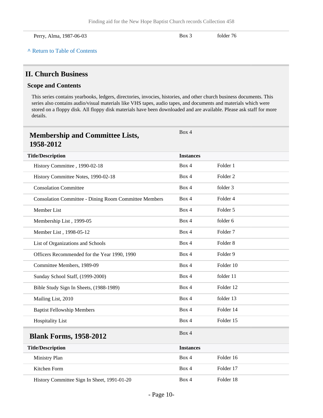| Perry, Alma, 1987-06-03 | Box 3 | folder 76 |  |
|-------------------------|-------|-----------|--|
|-------------------------|-------|-----------|--|

### <span id="page-9-0"></span>**II. Church Business**

#### **Scope and Contents**

This series contains yearbooks, ledgers, directories, invocies, histories, and other church business documents. This series also contains audio/visual materials like VHS tapes, audio tapes, and documents and materials which were stored on a floppy disk. All floppy disk materials have been downloaded and are available. Please ask staff for more details.

<span id="page-9-2"></span><span id="page-9-1"></span>

| <b>Membership and Committee Lists,</b><br>1958-2012          | Box 4            |                     |
|--------------------------------------------------------------|------------------|---------------------|
| <b>Title/Description</b>                                     | <b>Instances</b> |                     |
| History Committee, 1990-02-18                                | Box 4            | Folder 1            |
| History Committee Notes, 1990-02-18                          | Box 4            | Folder <sub>2</sub> |
| <b>Consolation Committee</b>                                 | Box 4            | folder 3            |
| <b>Consolation Committee - Dining Room Committee Members</b> | Box 4            | Folder 4            |
| Member List                                                  | Box 4            | Folder 5            |
| Membership List, 1999-05                                     | Box 4            | folder 6            |
| Member List, 1998-05-12                                      | Box 4            | Folder <sub>7</sub> |
| List of Organizations and Schools                            | Box 4            | Folder <sub>8</sub> |
| Officers Recommended for the Year 1990, 1990                 | Box 4            | Folder 9            |
| Committee Members, 1989-09                                   | Box 4            | Folder 10           |
| Sunday School Staff, (1999-2000)                             | Box 4            | folder 11           |
| Bible Study Sign In Sheets, (1988-1989)                      | Box 4            | Folder 12           |
| Mailing List, 2010                                           | Box 4            | folder 13           |
| <b>Baptist Fellowship Members</b>                            | Box 4            | Folder 14           |
| <b>Hospitality List</b>                                      | Box 4            | Folder 15           |
| <b>Blank Forms, 1958-2012</b>                                | Box 4            |                     |
| <b>Title/Description</b>                                     | <b>Instances</b> |                     |
| Ministry Plan                                                | Box 4            | Folder 16           |
| Kitchen Form                                                 | Box 4            | Folder 17           |
| History Committee Sign In Sheet, 1991-01-20                  | Box 4            | Folder 18           |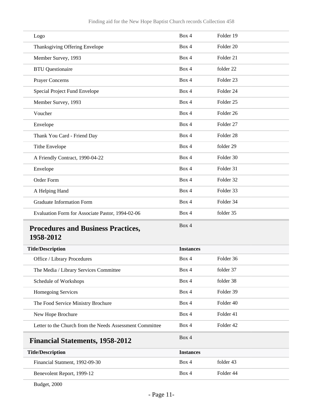| Logo                                             | Box 4 | Folder 19            |
|--------------------------------------------------|-------|----------------------|
| Thanksgiving Offering Envelope                   | Box 4 | Folder 20            |
| Member Survey, 1993                              | Box 4 | Folder 21            |
| <b>BTU</b> Questionaire                          | Box 4 | folder 22            |
| Prayer Concerns                                  | Box 4 | Folder <sub>23</sub> |
| Special Project Fund Envelope                    | Box 4 | Folder 24            |
| Member Survey, 1993                              | Box 4 | Folder <sub>25</sub> |
| Voucher                                          | Box 4 | Folder <sub>26</sub> |
| Envelope                                         | Box 4 | Folder 27            |
| Thank You Card - Friend Day                      | Box 4 | Folder <sub>28</sub> |
| <b>Tithe Envelope</b>                            | Box 4 | folder 29            |
| A Friendly Contract, 1990-04-22                  | Box 4 | Folder 30            |
| Envelope                                         | Box 4 | Folder 31            |
| Order Form                                       | Box 4 | Folder 32            |
| A Helping Hand                                   | Box 4 | Folder 33            |
| <b>Graduate Information Form</b>                 | Box 4 | Folder 34            |
| Evaluation Form for Associate Pastor, 1994-02-06 | Box 4 | folder 35            |
| <b>Procedures and Business Practices,</b>        | Box 4 |                      |

# <span id="page-10-0"></span>**1958-2012**

| <b>Title/Description</b>                                 | <b>Instances</b> |                      |  |
|----------------------------------------------------------|------------------|----------------------|--|
| <b>Office</b> / Library Procedures                       | Box 4            | Folder 36            |  |
| The Media / Library Services Committee                   | Box 4            | folder 37            |  |
| Schedule of Workshops                                    | Box 4            | folder 38            |  |
| <b>Homegoing Services</b>                                | Box 4            | Folder 39            |  |
| The Food Service Ministry Brochure                       | Box 4            | Folder 40            |  |
| New Hope Brochure                                        | Box 4            | Folder 41            |  |
| Letter to the Church from the Needs Assessment Committee | Box 4            | Folder <sub>42</sub> |  |
| <b>Financial Statements, 1958-2012</b>                   | Box 4            |                      |  |
| <b>Title/Description</b>                                 | <b>Instances</b> |                      |  |
| Financial Statment, 1992-09-30                           | Box 4            | folder 43            |  |
| Benevolent Report, 1999-12                               | Box 4            | Folder 44            |  |

<span id="page-10-1"></span>Budget, 2000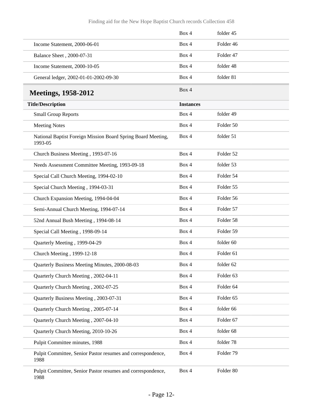<span id="page-11-0"></span>

|                                                                         | Box 4            | folder 45            |
|-------------------------------------------------------------------------|------------------|----------------------|
| Income Statement, 2000-06-01                                            | Box 4            | Folder 46            |
| Balance Sheet, 2000-07-31                                               | Box 4            | Folder 47            |
| Income Statement, 2000-10-05                                            | Box 4            | folder 48            |
| General ledger, 2002-01-01-2002-09-30                                   | Box 4            | folder 81            |
| <b>Meetings, 1958-2012</b>                                              | Box 4            |                      |
| <b>Title/Description</b>                                                | <b>Instances</b> |                      |
| <b>Small Group Reports</b>                                              | Box 4            | folder 49            |
| <b>Meeting Notes</b>                                                    | Box 4            | Folder 50            |
| National Baptist Foreign Mission Board Spring Board Meeting,<br>1993-05 | Box 4            | folder 51            |
| Church Business Meeting, 1993-07-16                                     | Box 4            | Folder 52            |
| Needs Assessment Committee Meeting, 1993-09-18                          | Box 4            | folder 53            |
| Special Call Church Meeting, 1994-02-10                                 | Box 4            | Folder 54            |
| Special Church Meeting, 1994-03-31                                      | Box 4            | Folder 55            |
| Church Expansion Meeting, 1994-04-04                                    | Box 4            | Folder 56            |
| Semi-Annual Church Meeting, 1994-07-14                                  | Box 4            | Folder 57            |
| 52nd Annual Bush Meeting, 1994-08-14                                    | Box 4            | Folder 58            |
| Special Call Meeting, 1998-09-14                                        | Box 4            | Folder 59            |
| Quarterly Meeting, 1999-04-29                                           | Box 4            | folder 60            |
| Church Meeting, 1999-12-18                                              | Box 4            | Folder <sub>61</sub> |
| Quarterly Business Meeting Minutes, 2000-08-03                          | Box 4            | folder 62            |
| Quarterly Church Meeting, 2002-04-11                                    | Box 4            | Folder 63            |
| Quarterly Church Meeting, 2002-07-25                                    | Box 4            | Folder 64            |
| Quarterly Business Meeting, 2003-07-31                                  | Box 4            | Folder 65            |
| Quarterly Church Meeting, 2005-07-14                                    | Box 4            | folder 66            |
| Quarterly Church Meeting, 2007-04-10                                    | Box 4            | Folder 67            |
| Quarterly Church Meeting, 2010-10-26                                    | Box 4            | folder 68            |
| Pulpit Committee minutes, 1988                                          | Box 4            | folder 78            |
| Pulpit Committee, Senior Pastor resumes and correspondence,<br>1988     | Box 4            | Folder 79            |
| Pulpit Committee, Senior Pastor resumes and correspondence,<br>1988     | Box 4            | Folder 80            |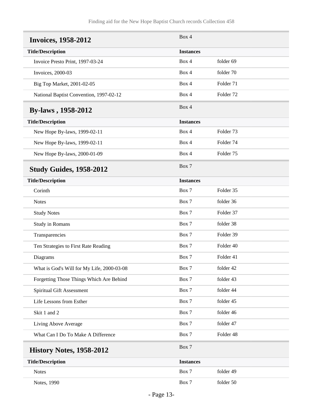<span id="page-12-3"></span><span id="page-12-2"></span><span id="page-12-1"></span><span id="page-12-0"></span>

| <b>Invoices, 1958-2012</b>                 | Box 4            |                      |
|--------------------------------------------|------------------|----------------------|
| <b>Title/Description</b>                   | <b>Instances</b> |                      |
| Invoice Presto Print, 1997-03-24           | Box 4            | folder 69            |
| Invoices, 2000-03                          | Box 4            | folder 70            |
| Big Top Market, 2001-02-05                 | Box 4            | Folder 71            |
| National Baptist Convention, 1997-02-12    | Box 4            | Folder 72            |
| <b>By-laws</b> , 1958-2012                 | Box 4            |                      |
| <b>Title/Description</b>                   | <b>Instances</b> |                      |
| New Hope By-laws, 1999-02-11               | Box 4            | Folder <sub>73</sub> |
| New Hope By-laws, 1999-02-11               | Box 4            | Folder 74            |
| New Hope By-laws, 2000-01-09               | Box 4            | Folder 75            |
| <b>Study Guides, 1958-2012</b>             | Box 7            |                      |
| <b>Title/Description</b>                   | <b>Instances</b> |                      |
| Corinth                                    | Box 7            | Folder 35            |
| <b>Notes</b>                               | Box 7            | folder 36            |
| <b>Study Notes</b>                         | Box 7            | Folder 37            |
| Study in Romans                            | Box 7            | folder 38            |
| Transparencies                             | Box 7            | Folder 39            |
| Ten Strategies to First Rate Reading       | Box 7            | Folder 40            |
| Diagrams                                   | Box 7            | Folder 41            |
| What is God's Will for My Life, 2000-03-08 | Box 7            | folder 42            |
| Forgetting Those Things Which Are Behind   | Box 7            | folder 43            |
| Spiritual Gift Assessment                  | Box 7            | folder 44            |
| Life Lessons from Esther                   | Box 7            | folder 45            |
| Skit 1 and 2                               | Box 7            | folder 46            |
| Living Above Average                       | Box 7            | folder 47            |
| What Can I Do To Make A Difference         | Box 7            | Folder 48            |
| <b>History Notes, 1958-2012</b>            | Box 7            |                      |
| <b>Title/Description</b>                   | <b>Instances</b> |                      |
| <b>Notes</b>                               | Box 7            | folder 49            |
| Notes, 1990                                | Box 7            | folder 50            |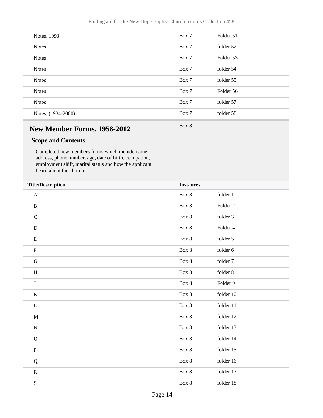| Notes, 1993        | Box 7 | Folder 51 |
|--------------------|-------|-----------|
| <b>Notes</b>       | Box 7 | folder 52 |
| <b>Notes</b>       | Box 7 | Folder 53 |
| <b>Notes</b>       | Box 7 | folder 54 |
| <b>Notes</b>       | Box 7 | folder 55 |
| <b>Notes</b>       | Box 7 | Folder 56 |
| <b>Notes</b>       | Box 7 | folder 57 |
| Notes, (1934-2000) | Box 7 | folder 58 |
|                    |       |           |

Box 8

# <span id="page-13-0"></span>**New Member Forms, 1958-2012**

### **Scope and Contents**

Completed new members forms which include name, address, phone number, age, date of birth, occupation, employment shift, marital status and how the applicant heard about the church.

| <b>Title/Description</b> | <b>Instances</b> |                     |
|--------------------------|------------------|---------------------|
| $\mathbf{A}$             | Box 8            | folder 1            |
| $\, {\bf B}$             | Box 8            | Folder <sub>2</sub> |
| $\mathbf C$              | Box 8            | folder 3            |
| $\mathbf D$              | Box 8            | Folder 4            |
| ${\bf E}$                | Box 8            | folder 5            |
| $\mathbf F$              | Box 8            | folder 6            |
| $\mathbf G$              | Box 8            | folder 7            |
| $\, {\rm H}$             | Box 8            | folder 8            |
| $\bf J$                  | Box 8            | Folder 9            |
| $\bf K$                  | Box 8            | folder 10           |
| L                        | Box 8            | folder 11           |
| $\mathbf M$              | Box 8            | folder 12           |
| $\mathbf N$              | Box 8            | folder 13           |
| $\mathbf O$              | Box 8            | folder 14           |
| $\, {\bf P}$             | Box 8            | folder 15           |
| Q                        | Box 8            | folder 16           |
| ${\bf R}$                | Box 8            | folder 17           |
| ${\bf S}$                | Box 8            | folder 18           |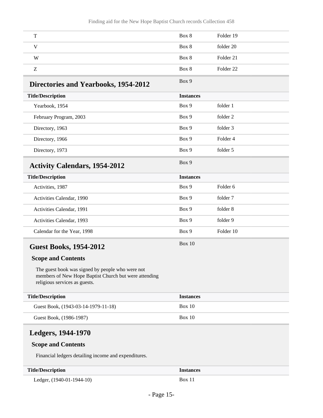<span id="page-14-1"></span><span id="page-14-0"></span>

| T                                                                                                                                          | Box 8            | Folder 19            |
|--------------------------------------------------------------------------------------------------------------------------------------------|------------------|----------------------|
| $\mathbf V$                                                                                                                                | Box 8            | folder 20            |
| W                                                                                                                                          | Box 8            | Folder 21            |
| Z                                                                                                                                          | Box 8            | Folder <sub>22</sub> |
| Directories and Yearbooks, 1954-2012                                                                                                       | Box 9            |                      |
| <b>Title/Description</b>                                                                                                                   | <b>Instances</b> |                      |
| Yearbook, 1954                                                                                                                             | Box 9            | folder 1             |
| February Program, 2003                                                                                                                     | Box 9            | folder 2             |
| Directory, 1963                                                                                                                            | Box 9            | folder 3             |
| Directory, 1966                                                                                                                            | Box 9            | Folder <sub>4</sub>  |
| Directory, 1973                                                                                                                            | Box 9            | folder 5             |
| <b>Activity Calendars, 1954-2012</b>                                                                                                       | Box 9            |                      |
| <b>Title/Description</b>                                                                                                                   | <b>Instances</b> |                      |
| Activities, 1987                                                                                                                           | Box 9            | Folder 6             |
| Activities Calendar, 1990                                                                                                                  | Box 9            | folder 7             |
| Activities Calendar, 1991                                                                                                                  | Box 9            | folder 8             |
| Activities Calendar, 1993                                                                                                                  | Box 9            | folder 9             |
| Calendar for the Year, 1998                                                                                                                | Box 9            | Folder 10            |
| <b>Guest Books, 1954-2012</b>                                                                                                              | Box 10           |                      |
| <b>Scope and Contents</b>                                                                                                                  |                  |                      |
| The guest book was signed by people who were not<br>members of New Hope Baptist Church but were attending<br>religious services as guests. |                  |                      |
| <b>Title/Description</b>                                                                                                                   | <b>Instances</b> |                      |
| Guest Book, (1943-03-14-1979-11-18)                                                                                                        | <b>Box 10</b>    |                      |
| Guest Book, (1986-1987)                                                                                                                    | Box 10           |                      |

### <span id="page-14-3"></span><span id="page-14-2"></span>**Scope and Contents**

Financial ledgers detailing income and expenditures.

| <b>Title/Description</b>  | <i><u><b>Instances</b></u></i> |
|---------------------------|--------------------------------|
| Ledger, (1940-01-1944-10) | <b>Box 11</b>                  |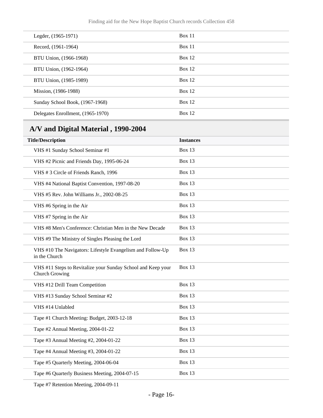| Legder, (1965-1971)               | Box 11   |
|-----------------------------------|----------|
| Record, (1961-1964)               | Box 11   |
| BTU Union, (1966-1968)            | Box $12$ |
| BTU Union, (1962-1964)            | Box 12   |
| BTU Union, (1985-1989)            | Box 12   |
| Mission, (1986-1988)              | Box 12   |
| Sunday School Book, (1967-1968)   | Box 12   |
| Delegates Enrollment, (1965-1970) | Box 12   |
|                                   |          |

# <span id="page-15-0"></span>**A/V and Digital Material , 1990-2004**

| <b>Title/Description</b>                                                       | <b>Instances</b> |
|--------------------------------------------------------------------------------|------------------|
| VHS #1 Sunday School Seminar #1                                                | <b>Box 13</b>    |
| VHS #2 Picnic and Friends Day, 1995-06-24                                      | <b>Box 13</b>    |
| VHS #3 Circle of Friends Ranch, 1996                                           | <b>Box 13</b>    |
| VHS #4 National Baptist Convention, 1997-08-20                                 | <b>Box 13</b>    |
| VHS #5 Rev. John Williams Jr., 2002-08-25                                      | <b>Box 13</b>    |
| VHS #6 Spring in the Air                                                       | <b>Box 13</b>    |
| VHS #7 Spring in the Air                                                       | <b>Box 13</b>    |
| VHS #8 Men's Conference: Christian Men in the New Decade                       | <b>Box 13</b>    |
| VHS #9 The Ministry of Singles Pleasing the Lord                               | <b>Box 13</b>    |
| VHS #10 The Navigators: Lifestyle Evangelism and Follow-Up<br>in the Church    | <b>Box 13</b>    |
| VHS #11 Steps to Revitalize your Sunday School and Keep your<br>Church Growing | <b>Box 13</b>    |
| VHS #12 Drill Team Competition                                                 | <b>Box 13</b>    |
| VHS #13 Sunday School Seminar #2                                               | <b>Box 13</b>    |
| VHS #14 Unlabled                                                               | <b>Box 13</b>    |
| Tape #1 Church Meeting: Budget, 2003-12-18                                     | <b>Box 13</b>    |
| Tape #2 Annual Meeting, 2004-01-22                                             | <b>Box 13</b>    |
| Tape #3 Annual Meeting #2, 2004-01-22                                          | <b>Box 13</b>    |
| Tape #4 Annual Meeting #3, 2004-01-22                                          | <b>Box 13</b>    |
| Tape #5 Quarterly Meeting, 2004-06-04                                          | <b>Box 13</b>    |
| Tape #6 Quarterly Business Meeting, 2004-07-15                                 | <b>Box 13</b>    |

Tape #7 Retention Meeting, 2004-09-11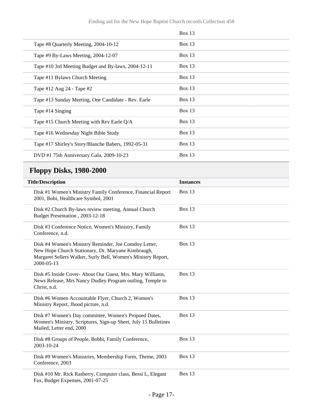|                                                     | Box $13$ |
|-----------------------------------------------------|----------|
| Tape #8 Quarterly Meeting, 2004-10-12               | Box $13$ |
| Tape #9 By-Laws Meeting, 2004-12-07                 | Box 13   |
| Tape #10 3rd Meeting Budget and By-laws, 2004-12-11 | Box 13   |
| Tape #11 Bylaws Church Meeting                      | Box $13$ |
| Tape #12 Aug 24 - Tape #2                           | Box 13   |
| Tape #13 Sunday Meeting, One Candidate - Rev. Earle | Box 13   |
| Tape #14 Singing                                    | Box $13$ |
| Tape #15 Church Meeting with Rev Earle Q/A          | Box 13   |
| Tape #16 Wednesday Night Bible Study                | Box $13$ |
| Tape #17 Shirley's Story/Blanche Babers, 1992-05-31 | Box 13   |
| DVD #1 75th Anniversary Gala, 2009-10-23            | Box $13$ |

# <span id="page-16-0"></span>**Floppy Disks, 1980-2000**

| <b>Title/Description</b>                                                                                                                                                                   | <b>Instances</b> |
|--------------------------------------------------------------------------------------------------------------------------------------------------------------------------------------------|------------------|
| Disk #1 Women's Ministry Family Conference, Financial Report<br>2001, Bobi, Healthcare Symbol, 2001                                                                                        | <b>Box 13</b>    |
| Disk #2 Church By-laws review meeting, Annual Church<br>Budget Presentation, 2003-12-18                                                                                                    | <b>Box 13</b>    |
| Disk #3 Conference Notice, Women's Ministry, Family<br>Conference, n.d.                                                                                                                    | <b>Box 13</b>    |
| Disk #4 Women's Ministry Reminder, Joe Comdoy Letter,<br>New Hope Church Stationary, Dr. Maryane Kimbraugh,<br>Margaret Sellers Walker, Surly Bell, Women's Ministry Report,<br>2000-05-13 | <b>Box 13</b>    |
| Disk #5 Inside Cover- About Our Guest, Mrs. Mary Williams,<br>News Release, Mrs Nancy Dudley Program outling, Temple to<br>Christ, n.d.                                                    | <b>Box 13</b>    |
| Disk #6 Women Accountable Flyer, Church 2, Women's<br>Ministry Report, Jhood picture, n.d.                                                                                                 | <b>Box 13</b>    |
| Disk #7 Women's Day committee, Women's Propoed Dates,<br>Women's Ministry, Scriptures, Sign-up Sheet, July 15 Bulletines<br>Mailed, Letter end, 2000                                       | <b>Box 13</b>    |
| Disk #8 Groups of People, Bobbi, Family Conference,<br>2003-10-24                                                                                                                          | <b>Box 13</b>    |
| Disk #9 Women's Ministries, Membership Form, Theme, 2003<br>Conference, 2003                                                                                                               | <b>Box 13</b>    |
| Disk #10 Mr. Rick Rasberry, Computer class, Bessi L, Elegant<br>Fax, Budget Expenses, 2001-07-25                                                                                           | <b>Box 13</b>    |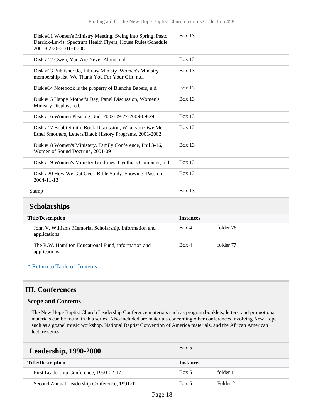| Disk #11 Women's Ministry Meeting, Swing into Spring, Pasto<br>Derrick-Lewis, Spectrum Health Flyers, House Rules/Schedule,<br>2001-02-26-2001-03-08 | <b>Box 13</b> |
|------------------------------------------------------------------------------------------------------------------------------------------------------|---------------|
| Disk #12 Gwen, You Are Never Alone, n.d.                                                                                                             | Box 13        |
| Disk #13 Publisher 98, Library Ministy, Women's Ministry<br>membership list, We Thank You For Your Gift, n.d.                                        | Box $13$      |
| Disk #14 Notebook is the property of Blanche Babers, n.d.                                                                                            | Box 13        |
| Disk #15 Happy Mother's Day, Panel Discussion, Women's<br>Ministry Display, n.d.                                                                     | Box $13$      |
| Disk #16 Women Pleasing God, 2002-09-27-2009-09-29                                                                                                   | Box $13$      |
| Disk #17 Bobbi Smith, Book Discussion, What you Owe Me,<br>Ethel Smothers, Letters/Black History Programs, 2001-2002                                 | Box $13$      |
| Disk #18 Women's Ministery, Family Conference, Phil 3-16,<br>Women of Sound Doctrine, 2001-09                                                        | Box $13$      |
| Disk #19 Women's Ministry Guidlines, Cynthia's Computer, n.d.                                                                                        | Box $13$      |
| Disk #20 How We Got Over, Bible Study, Showing: Passion,<br>2004-11-13                                                                               | Box $13$      |
| Stamp                                                                                                                                                | <b>Box 13</b> |
| $\alpha$ i i i                                                                                                                                       |               |

#### <span id="page-17-0"></span>**Scholarships**

| <b>Title/Description</b>                                               | <b>Instances</b> |           |
|------------------------------------------------------------------------|------------------|-----------|
| John V. Williams Memorial Scholarship, information and<br>applications | Box 4            | folder 76 |
| The R.W. Hamilton Educational Fund, information and<br>applications    | Box 4            | folder 77 |

#### **^** [Return to Table of Contents](#page-1-0)

### <span id="page-17-1"></span>**III. Conferences**

#### **Scope and Contents**

The New Hope Baptist Church Leadership Conference materials such as program booklets, letters, and promotional materials can be found in this series. Also included are materials concerning other conferences involving New Hope such as a gospel music workshop, National Baptist Convention of America materials, and the African American lecture series.

<span id="page-17-2"></span>

| <b>Leadership, 1990-2000</b>                 | Box 5            |          |
|----------------------------------------------|------------------|----------|
| <b>Title/Description</b>                     | <b>Instances</b> |          |
| First Leadership Conference, 1990-02-17      | Box 5            | folder 1 |
| Second Annual Leadership Conference, 1991-02 | Box 5            | Folder 2 |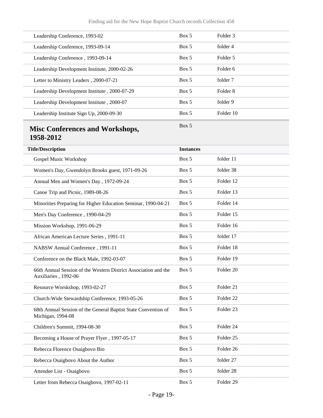<span id="page-18-0"></span>

| Leadership Conference, 1993-02                                                          | Box 5            | Folder <sub>3</sub>  |
|-----------------------------------------------------------------------------------------|------------------|----------------------|
| Leadership Conference, 1993-09-14                                                       | Box 5            | folder 4             |
| Leadership Conference, 1993-09-14                                                       | Box 5            | Folder 5             |
| Leadership Development Institute, 2000-02-26                                            | Box 5            | Folder 6             |
| Letter to Ministry Leaders, 2000-07-21                                                  | Box 5            | folder 7             |
| Leadership Development Institute, 2000-07-29                                            | Box 5            | Folder <sub>8</sub>  |
| Leadership Development Institute, 2000-07                                               | Box 5            | folder 9             |
| Leadership Institute Sign Up, 2000-09-30                                                | Box 5            | Folder 10            |
| <b>Misc Conferences and Workshops,</b><br>1958-2012                                     | Box 5            |                      |
| <b>Title/Description</b>                                                                | <b>Instances</b> |                      |
| Gospel Music Workshop                                                                   | Box 5            | folder 11            |
| Women's Day, Gwendolyn Brooks guest, 1971-09-26                                         | Box 5            | folder 38            |
| Annual Men and Women's Day, 1972-09-24                                                  | Box 5            | Folder 12            |
| Canoe Trip and Picnic, 1989-08-26                                                       | Box 5            | Folder 13            |
| Minorities Preparing for Higher Education Seminar, 1990-04-21                           | Box 5            | Folder 14            |
| Men's Day Conference, 1990-04-29                                                        | Box 5            | Folder 15            |
| Mission Workshop, 1991-06-29                                                            | Box 5            | Folder 16            |
| African American Lecture Series, 1991-11                                                | Box 5            | folder 17            |
| NABSW Annual Conference, 1991-11                                                        | Box 5            | Folder 18            |
| Conference on the Black Male, 1992-03-07                                                | Box 5            | Folder 19            |
| 66th Annual Session of the Western District Association and the<br>Auxiliaries, 1992-06 | Box 5            | Folder 20            |
| Resource Worskshop, 1993-02-27                                                          | Box 5            | Folder 21            |
| Church-Wide Stewardship Conference, 1993-05-26                                          | Box 5            | Folder <sub>22</sub> |
| 68th Annual Session of the General Baptist State Convention of<br>Michigan, 1994-08     | Box 5            | Folder <sub>23</sub> |
| Children's Summit, 1994-08-30                                                           | Box 5            | Folder 24            |
| Becoming a House of Prayer Flyer, 1997-05-17                                            | Box 5            | Folder 25            |
| Rebecca Florence Osaigbovo Bio                                                          | Box 5            | Folder 26            |
| Rebecca Osaigbovo About the Author                                                      | Box 5            | folder 27            |
| Attendee List - Osaigbovo                                                               | Box 5            | folder 28            |
| Letter from Rebecca Osaigbovo, 1997-02-11                                               | Box 5            | Folder 29            |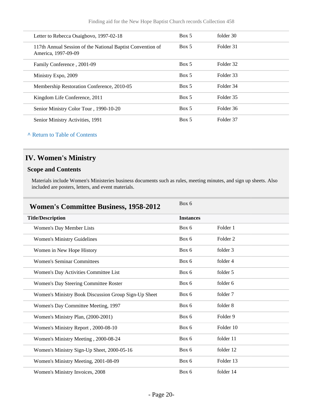| Letter to Rebecca Osaigbovo, 1997-02-18                                           | Box 5 | folder 30 |  |
|-----------------------------------------------------------------------------------|-------|-----------|--|
| 117th Annual Session of the National Baptist Convention of<br>America, 1997-09-09 | Box 5 | Folder 31 |  |
| Family Conference, 2001-09                                                        | Box 5 | Folder 32 |  |
| Ministry Expo, 2009                                                               | Box 5 | Folder 33 |  |
| Membership Restoration Conference, 2010-05                                        | Box 5 | Folder 34 |  |
| Kingdom Life Conference, 2011                                                     | Box 5 | Folder 35 |  |
| Senior Ministry Color Tour, 1990-10-20                                            | Box 5 | Folder 36 |  |
| Senior Ministry Activities, 1991                                                  | Box 5 | Folder 37 |  |

# <span id="page-19-0"></span>**IV. Women's Ministry**

### **Scope and Contents**

Materials include Women's Ministeries business documents such as rules, meeting minutes, and sign up sheets. Also included are posters, letters, and event materials.

<span id="page-19-1"></span>

| <b>Women's Committee Business, 1958-2012</b>         | Box 6            |                     |
|------------------------------------------------------|------------------|---------------------|
| <b>Title/Description</b>                             | <b>Instances</b> |                     |
| Women's Day Member Lists                             | Box 6            | Folder 1            |
| <b>Women's Ministry Guidelines</b>                   | Box 6            | Folder <sub>2</sub> |
| Women in New Hope History                            | Box 6            | folder 3            |
| <b>Women's Seminar Committees</b>                    | Box 6            | folder 4            |
| Women's Day Activities Committee List                | Box 6            | folder 5            |
| Women's Day Steering Committee Roster                | Box 6            | folder 6            |
| Women's Ministry Book Discussion Group Sign-Up Sheet | Box 6            | folder 7            |
| Women's Day Committee Meeting, 1997                  | Box 6            | folder 8            |
| Women's Ministry Plan, (2000-2001)                   | Box 6            | Folder 9            |
| Women's Ministry Report, 2000-08-10                  | Box 6            | Folder 10           |
| Women's Ministry Meeting, 2000-08-24                 | Box 6            | folder 11           |
| Women's Ministry Sign-Up Sheet, 2000-05-16           | Box 6            | folder 12           |
| Women's Ministry Meeting, 2001-08-09                 | Box 6            | Folder 13           |
| Women's Ministry Invoices, 2008                      | Box 6            | folder 14           |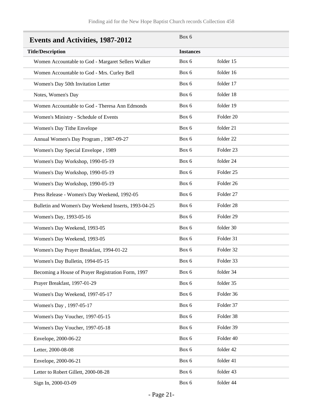<span id="page-20-0"></span>

| <b>Events and Activities, 1987-2012</b>              | Box 6            |                      |
|------------------------------------------------------|------------------|----------------------|
| <b>Title/Description</b>                             | <b>Instances</b> |                      |
| Women Accountable to God - Margaret Sellers Walker   | Box 6            | folder 15            |
| Women Accountable to God - Mrs. Curley Bell          | Box 6            | folder 16            |
| Women's Day 50th Invitation Letter                   | Box 6            | folder 17            |
| Notes, Women's Day                                   | Box 6            | folder 18            |
| Women Accountable to God - Theresa Ann Edmonds       | Box 6            | folder 19            |
| Women's Ministry - Schedule of Events                | Box 6            | Folder <sub>20</sub> |
| Women's Day Tithe Envelope                           | Box 6            | folder 21            |
| Annual Women's Day Program, 1987-09-27               | Box 6            | folder 22            |
| Women's Day Special Envelope, 1989                   | Box 6            | Folder <sub>23</sub> |
| Women's Day Workshop, 1990-05-19                     | Box 6            | folder 24            |
| Women's Day Workshop, 1990-05-19                     | Box 6            | Folder <sub>25</sub> |
| Women's Day Workshop, 1990-05-19                     | Box 6            | Folder 26            |
| Press Release - Women's Day Weekend, 1992-05         | Box 6            | Folder 27            |
| Bulletin and Women's Day Weekend Inserts, 1993-04-25 | Box 6            | Folder 28            |
| Women's Day, 1993-05-16                              | Box 6            | Folder 29            |
| Women's Day Weekend, 1993-05                         | Box 6            | folder 30            |
| Women's Day Weekend, 1993-05                         | Box 6            | Folder 31            |
| Women's Day Prayer Breakfast, 1994-01-22             | Box 6            | Folder 32            |
| Women's Day Bulletin, 1994-05-15                     | Box 6            | Folder 33            |
| Becoming a House of Prayer Registration Form, 1997   | Box 6            | folder 34            |
| Prayer Breakfast, 1997-01-29                         | Box 6            | folder 35            |
| Women's Day Weekend, 1997-05-17                      | Box 6            | Folder 36            |
| Women's Day, 1997-05-17                              | Box 6            | Folder 37            |
| Women's Day Voucher, 1997-05-15                      | Box 6            | Folder 38            |
| Women's Day Voucher, 1997-05-18                      | Box 6            | Folder 39            |
| Envelope, 2000-06-22                                 | Box 6            | Folder 40            |
| Letter, 2000-08-08                                   | Box 6            | folder 42            |
| Envelope, 2000-06-21                                 | Box 6            | folder 41            |
| Letter to Robert Gillett, 2000-08-28                 | Box 6            | folder 43            |
| Sign In, 2000-03-09                                  | Box 6            | folder 44            |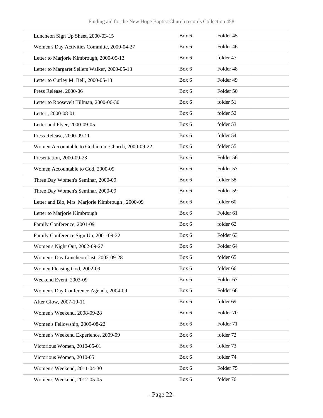| Luncheon Sign Up Sheet, 2000-03-15                 | Box 6 | Folder 45            |
|----------------------------------------------------|-------|----------------------|
| Women's Day Activities Committe, 2000-04-27        | Box 6 | Folder 46            |
| Letter to Marjorie Kimbrough, 2000-05-13           | Box 6 | folder 47            |
| Letter to Margaret Sellers Walker, 2000-05-13      | Box 6 | Folder 48            |
| Letter to Curley M. Bell, 2000-05-13               | Box 6 | Folder 49            |
| Press Release, 2000-06                             | Box 6 | Folder 50            |
| Letter to Roosevelt Tillman, 2000-06-30            | Box 6 | folder 51            |
| Letter, 2000-08-01                                 | Box 6 | folder 52            |
| Letter and Flyer, 2000-09-05                       | Box 6 | folder 53            |
| Press Release, 2000-09-11                          | Box 6 | folder 54            |
| Women Accountable to God in our Church, 2000-09-22 | Box 6 | folder 55            |
| Presentation, 2000-09-23                           | Box 6 | Folder 56            |
| Women Accountable to God, 2000-09                  | Box 6 | Folder 57            |
| Three Day Women's Seminar, 2000-09                 | Box 6 | folder 58            |
| Three Day Women's Seminar, 2000-09                 | Box 6 | Folder 59            |
| Letter and Bio, Mrs. Marjorie Kimbrough, 2000-09   | Box 6 | folder 60            |
| Letter to Marjorie Kimbrough                       | Box 6 | Folder 61            |
| Family Conference, 2001-09                         | Box 6 | folder 62            |
| Family Conference Sign Up, 2001-09-22              | Box 6 | Folder <sub>63</sub> |
| Women's Night Out, 2002-09-27                      | Box 6 | Folder <sub>64</sub> |
| Women's Day Luncheon List, 2002-09-28              | Box 6 | folder 65            |
| Women Pleasing God, 2002-09                        | Box 6 | folder 66            |
| Weekend Event, 2003-09                             | Box 6 | Folder 67            |
| Women's Day Conference Agenda, 2004-09             | Box 6 | Folder 68            |
| After Glow, 2007-10-11                             | Box 6 | folder 69            |
| Women's Weekend, 2008-09-28                        | Box 6 | Folder 70            |
| Women's Fellowship, 2009-08-22                     | Box 6 | Folder 71            |
| Women's Weekend Experience, 2009-09                | Box 6 | folder 72            |
| Victorious Women, 2010-05-01                       | Box 6 | folder 73            |
| Victorious Women, 2010-05                          | Box 6 | folder 74            |
| Women's Weekend, 2011-04-30                        | Box 6 | Folder 75            |
| Women's Weekend, 2012-05-05                        | Box 6 | folder 76            |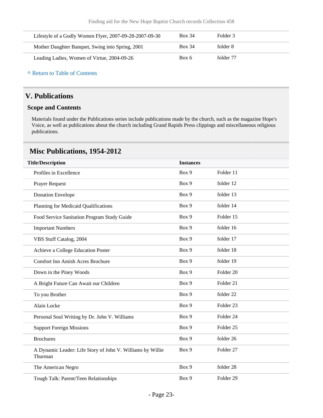| Lifestyle of a Godly Women Flyer, 2007-09-28-2007-09-30 | <b>Box 34</b> | Folder 3  |
|---------------------------------------------------------|---------------|-----------|
| Mother Daughter Banquet, Swing into Spring, 2001        | <b>Box 34</b> | folder 8  |
| Leading Ladies, Women of Virtue, 2004-09-26             | Box 6         | folder 77 |

### <span id="page-22-0"></span>**V. Publications**

#### **Scope and Contents**

Materials found under the Publications series include publications made by the church, such as the magazine Hope's Voice, as well as publications about the church including Grand Rapids Press clippings and miscellaneous religious publications.

### <span id="page-22-1"></span>**Misc Publications, 1954-2012**

| <b>Title/Description</b>                                              | <b>Instances</b> |                      |  |
|-----------------------------------------------------------------------|------------------|----------------------|--|
| Profiles in Excellence                                                | Box 9            | Folder 11            |  |
| Prayer Request                                                        | Box 9            | folder 12            |  |
| <b>Donation Envelope</b>                                              | Box 9            | folder 13            |  |
| Planning for Medicaid Qualifications                                  | Box 9            | folder 14            |  |
| Food Service Sanitation Program Study Guide                           | Box 9            | Folder 15            |  |
| <b>Important Numbers</b>                                              | Box 9            | folder 16            |  |
| VBS Stuff Catalog, 2004                                               | Box 9            | folder 17            |  |
| Achieve a College Education Poster                                    | Box 9            | folder 18            |  |
| Comfort Inn Amish Acres Brochure                                      | Box 9            | folder 19            |  |
| Down in the Piney Woods                                               | Box 9            | Folder <sub>20</sub> |  |
| A Bright Future Can Await our Children                                | Box 9            | Folder 21            |  |
| To you Brother                                                        | Box 9            | folder 22            |  |
| Alain Locke                                                           | Box 9            | Folder 23            |  |
| Personal Soul Writing by Dr. John V. Williams                         | Box 9            | Folder 24            |  |
| <b>Support Foreign Missions</b>                                       | Box 9            | Folder 25            |  |
| <b>Brochures</b>                                                      | Box 9            | folder 26            |  |
| A Dynamic Leader: Life Story of John V. Williams by Willie<br>Thurman | Box 9            | Folder 27            |  |
| The American Negro                                                    | Box 9            | folder 28            |  |
| Tough Talk: Parent/Teen Relationships                                 | Box 9            | Folder <sub>29</sub> |  |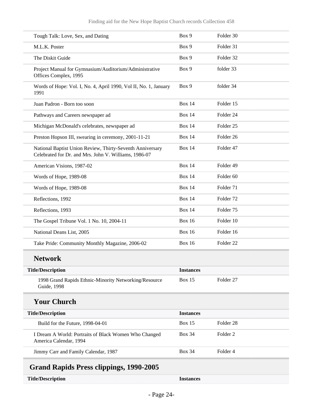<span id="page-23-0"></span>

| Tough Talk: Love, Sex, and Dating                                                                                  | Box 9            | Folder 30            |
|--------------------------------------------------------------------------------------------------------------------|------------------|----------------------|
| M.L.K. Poster                                                                                                      | Box 9            | Folder 31            |
| The Diskit Guide                                                                                                   | Box 9            | Folder 32            |
| Project Manual for Gymnasium/Auditorium/Administrative<br>Offices Complex, 1995                                    | Box 9            | folder 33            |
| Words of Hope: Vol. I, No. 4, April 1990, Vol II, No. 1, January<br>1991                                           | Box 9            | folder 34            |
| Juan Padron - Born too soon                                                                                        | <b>Box 14</b>    | Folder 15            |
| Pathways and Careers newspaper ad                                                                                  | <b>Box 14</b>    | Folder 24            |
| Michigan McDonald's celebrates, newspaper ad                                                                       | <b>Box 14</b>    | Folder <sub>25</sub> |
| Preston Hopson III, swearing in ceremony, 2001-11-21                                                               | <b>Box 14</b>    | Folder <sub>26</sub> |
| National Baptist Union Review, Thirty-Seventh Anniversary<br>Celebrated for Dr. and Mrs. John V. Williams, 1986-07 | <b>Box 14</b>    | Folder 47            |
| American Visions, 1987-02                                                                                          | <b>Box 14</b>    | Folder 49            |
| Words of Hope, 1989-08                                                                                             | <b>Box 14</b>    | Folder <sub>60</sub> |
| Words of Hope, 1989-08                                                                                             | <b>Box 14</b>    | Folder 71            |
| Reflections, 1992                                                                                                  | <b>Box 14</b>    | Folder <sub>72</sub> |
| Reflections, 1993                                                                                                  | <b>Box 14</b>    | Folder <sub>75</sub> |
| The Gospel Tribune Vol. 1 No. 10, 2004-11                                                                          | <b>Box 16</b>    | Folder 10            |
| National Deans List, 2005                                                                                          | <b>Box 16</b>    | Folder 16            |
| Take Pride: Community Monthly Magazine, 2006-02                                                                    | <b>Box 16</b>    | Folder <sub>22</sub> |
| <b>Network</b>                                                                                                     |                  |                      |
| <b>Title/Description</b>                                                                                           | <b>Instances</b> |                      |
| 1998 Grand Rapids Ethnic-Minority Networking/Resource<br><b>Guide</b> , 1998                                       | Box 15           | Folder <sub>27</sub> |
| <b>Your Church</b>                                                                                                 |                  |                      |
| <b>Title/Description</b>                                                                                           | <b>Instances</b> |                      |
| Build for the Future, 1998-04-01                                                                                   | <b>Box 15</b>    | Folder <sub>28</sub> |
| I Dream A World: Portraits of Black Women Who Changed<br>America Calendar, 1994                                    | <b>Box 34</b>    | Folder 2             |
| Jimmy Carr and Family Calendar, 1987                                                                               | <b>Box 34</b>    | Folder 4             |
| <b>Grand Rapids Press clippings, 1990-2005</b>                                                                     |                  |                      |
| <b>Title/Description</b>                                                                                           | <b>Instances</b> |                      |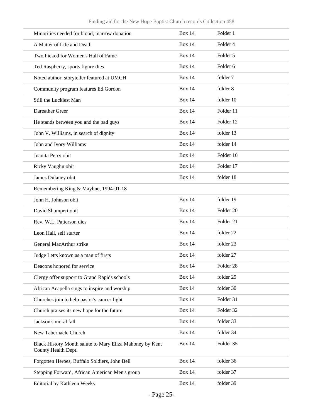| Minorities needed for blood, marrow donation                                    | <b>Box 14</b> | Folder 1             |
|---------------------------------------------------------------------------------|---------------|----------------------|
| A Matter of Life and Death                                                      | <b>Box 14</b> | Folder <sub>4</sub>  |
| Two Picked for Women's Hall of Fame                                             | <b>Box 14</b> | Folder 5             |
| Ted Raspberry, sports figure dies                                               | <b>Box 14</b> | Folder <sub>6</sub>  |
| Noted author, storyteller featured at UMCH                                      | <b>Box 14</b> | folder 7             |
| Community program features Ed Gordon                                            | <b>Box 14</b> | folder 8             |
| Still the Luckiest Man                                                          | <b>Box 14</b> | folder 10            |
| Dareather Greer                                                                 | <b>Box 14</b> | Folder 11            |
| He stands between you and the bad guys                                          | <b>Box 14</b> | Folder 12            |
| John V. Williams, in search of dignity                                          | <b>Box 14</b> | folder 13            |
| John and Ivory Williams                                                         | <b>Box 14</b> | folder 14            |
| Juanita Perry obit                                                              | <b>Box 14</b> | Folder 16            |
| Ricky Vaughn obit                                                               | <b>Box 14</b> | Folder 17            |
| James Dulaney obit                                                              | <b>Box 14</b> | folder 18            |
| Remembering King & Mayhue, 1994-01-18                                           |               |                      |
| John H. Johnson obit                                                            | <b>Box 14</b> | folder 19            |
| David Shumpert obit                                                             | <b>Box 14</b> | Folder <sub>20</sub> |
| Rev. W.L. Patterson dies                                                        | <b>Box 14</b> | Folder 21            |
| Leon Hall, self starter                                                         | <b>Box 14</b> | folder 22            |
| General MacArthur strike                                                        | <b>Box 14</b> | folder 23            |
| Judge Letts known as a man of firsts                                            | <b>Box 14</b> | folder 27            |
| Deacons honored for service                                                     | <b>Box 14</b> | Folder <sub>28</sub> |
| Clergy offer support to Grand Rapids schools                                    | <b>Box 14</b> | folder 29            |
| African Acapella sings to inspire and worship                                   | <b>Box 14</b> | folder 30            |
| Churches join to help pastor's cancer fight                                     | <b>Box 14</b> | Folder 31            |
| Church praises its new hope for the future                                      | <b>Box 14</b> | Folder 32            |
| Jackson's moral fall                                                            | <b>Box 14</b> | folder 33            |
| New Tabernacle Church                                                           | <b>Box 14</b> | folder 34            |
| Black History Month salute to Mary Eliza Mahoney by Kent<br>County Health Dept. | <b>Box 14</b> | Folder 35            |
| Forgotten Heroes, Buffalo Soldiers, John Bell                                   | <b>Box 14</b> | folder 36            |
| Stepping Forward, African American Men's group                                  | <b>Box 14</b> | folder 37            |
| <b>Editorial by Kathleen Weeks</b>                                              | <b>Box 14</b> | folder 39            |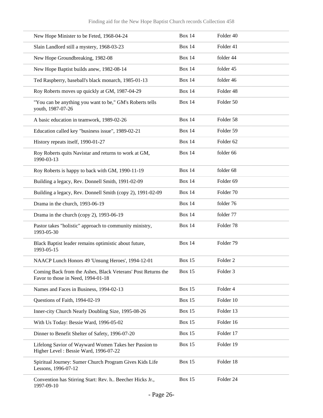| New Hope Minister to be Feted, 1968-04-24                                                          | <b>Box 14</b> | Folder 40            |
|----------------------------------------------------------------------------------------------------|---------------|----------------------|
| Slain Landlord still a mystery, 1968-03-23                                                         | <b>Box 14</b> | Folder 41            |
| New Hope Groundbreaking, 1982-08                                                                   | <b>Box 14</b> | folder 44            |
| New Hope Baptist builds anew, 1982-08-14                                                           | <b>Box 14</b> | folder 45            |
| Ted Raspberry, baseball's black monarch, 1985-01-13                                                | <b>Box 14</b> | folder 46            |
| Roy Roberts moves up quickly at GM, 1987-04-29                                                     | <b>Box 14</b> | Folder <sub>48</sub> |
| "You can be anything you want to be," GM's Roberts tells<br>youth, 1987-07-26                      | <b>Box 14</b> | Folder 50            |
| A basic education in teamwork, 1989-02-26                                                          | <b>Box 14</b> | Folder 58            |
| Education called key "business issue", 1989-02-21                                                  | <b>Box 14</b> | Folder 59            |
| History repeats itself, 1990-01-27                                                                 | <b>Box 14</b> | Folder <sub>62</sub> |
| Roy Roberts quits Navistar and returns to work at GM,<br>1990-03-13                                | <b>Box 14</b> | folder 66            |
| Roy Roberts is happy to back with GM, 1990-11-19                                                   | <b>Box 14</b> | folder 68            |
| Building a legacy, Rev. Donnell Smith, 1991-02-09                                                  | <b>Box 14</b> | Folder <sub>69</sub> |
| Building a legacy, Rev. Donnell Smith (copy 2), 1991-02-09                                         | <b>Box 14</b> | Folder <sub>70</sub> |
| Drama in the church, 1993-06-19                                                                    | <b>Box 14</b> | folder 76            |
| Drama in the church (copy 2), 1993-06-19                                                           | <b>Box 14</b> | folder 77            |
| Pastor takes "holistic" approach to community ministry,<br>1993-05-30                              | <b>Box 14</b> | Folder <sub>78</sub> |
| Black Baptist leader remains optimistic about future,<br>1993-05-15                                | <b>Box 14</b> | Folder 79            |
| NAACP Lunch Honors 49 'Unsung Heroes', 1994-12-01                                                  | <b>Box 15</b> | Folder <sub>2</sub>  |
| Coming Back from the Ashes, Black Veterans' Post Returns the<br>Favor to those in Need, 1994-01-18 | <b>Box 15</b> | Folder <sub>3</sub>  |
| Names and Faces in Business, 1994-02-13                                                            | <b>Box 15</b> | Folder 4             |
| Questions of Faith, 1994-02-19                                                                     | <b>Box 15</b> | Folder 10            |
| Inner-city Church Nearly Doubling Size, 1995-08-26                                                 | <b>Box 15</b> | Folder 13            |
| With Us Today: Bessie Ward, 1996-05-02                                                             | <b>Box 15</b> | Folder 16            |
| Dinner to Benefit Shelter of Safety, 1996-07-20                                                    | <b>Box 15</b> | Folder 17            |
| Lifelong Savior of Wayward Women Takes her Passion to<br>Higher Level: Bessie Ward, 1996-07-22     | <b>Box 15</b> | Folder 19            |
| Spiritual Journey: Sumer Church Program Gives Kids Life<br>Lessons, 1996-07-12                     | <b>Box 15</b> | Folder 18            |
| Convention has Stirring Start: Rev. h Beecher Hicks Jr.,<br>1997-09-10                             | <b>Box 15</b> | Folder 24            |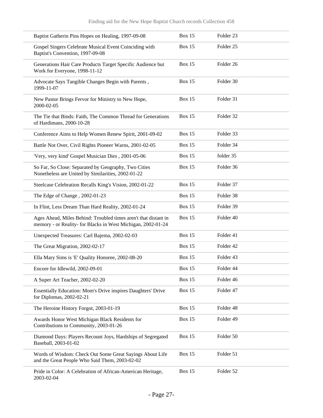| Baptist Gatherin Pins Hopes on Healing, 1997-09-08                                                                              | <b>Box 15</b> | Folder 23            |
|---------------------------------------------------------------------------------------------------------------------------------|---------------|----------------------|
| Gospel Singers Celebrate Musical Event Coinciding with<br>Baptist's Convention, 1997-09-08                                      | Box 15        | Folder <sub>25</sub> |
| Generations Hair Care Products Target Specific Audience but<br>Work for Everyone, 1998-11-12                                    | Box 15        | Folder 26            |
| Advocate Says Tangible Changes Begin with Parents,<br>1999-11-07                                                                | Box 15        | Folder 30            |
| New Pastor Brings Fervor for Ministry to New Hope,<br>2000-02-05                                                                | Box 15        | Folder 31            |
| The Tie that Binds: Faith, The Common Thread for Generations<br>of Hardimans, 2000-10-28                                        | Box 15        | Folder 32            |
| Conference Aims to Help Women Renew Spirit, 2001-09-02                                                                          | <b>Box 15</b> | Folder 33            |
| Battle Not Over, Civil Rights Pioneer Warns, 2001-02-05                                                                         | Box 15        | Folder 34            |
| 'Very, very kind' Gospel Musician Dies, 2001-05-06                                                                              | Box 15        | folder 35            |
| So Far, So Close: Separated by Geography, Two Cities<br>Nonetheless are United by Similarities, 2002-01-22                      | Box 15        | Folder 36            |
| Steelcase Celebration Recalls King's Vision, 2002-01-22                                                                         | Box 15        | Folder 37            |
| The Edge of Change, 2002-01-23                                                                                                  | Box 15        | Folder 38            |
| In Flint, Less Dream Than Hard Reality, 2002-01-24                                                                              | Box 15        | Folder 39            |
| Ages Ahead, Miles Behind: Troubled times aren't that distant in<br>memory - or Reality- for Blacks in West Michigan, 2002-01-24 | Box 15        | Folder 40            |
| Unexpected Treasures: Carl Bajema, 2002-02-03                                                                                   | Box 15        | Folder 41            |
| The Great Migration, 2002-02-17                                                                                                 | Box 15        | Folder 42            |
| Ella Mary Sims is 'E' Quality Honoree, 2002-08-20                                                                               | Box 15        | Folder 43            |
| Encore for Idlewild, 2002-09-01                                                                                                 | Box 15        | Folder 44            |
| A Super Art Teacher, 2002-02-20                                                                                                 | Box 15        | Folder 46            |
| Essentially Education: Mom's Drive inspires Daughters' Drive<br>for Diplomas, 2002-02-21                                        | Box 15        | Folder 47            |
| The Heroine History Forgot, 2003-01-19                                                                                          | <b>Box 15</b> | Folder 48            |
| Awards Honor West Michigan Black Residents for<br>Contributions to Community, 2003-01-26                                        | Box 15        | Folder 49            |
| Diamond Days: Players Recount Joys, Hardships of Segregated<br>Baseball, 2003-01-02                                             | Box 15        | Folder 50            |
| Words of Wisdom: Check Out Some Great Sayings About Life<br>and the Great People Who Said Them, 2003-02-02                      | Box 15        | Folder 51            |
| Pride in Color: A Celebration of African-American Heritage,<br>2003-02-04                                                       | Box 15        | Folder 52            |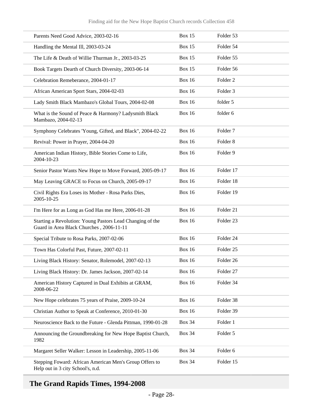| Parents Need Good Advice, 2003-02-16                                                                  | <b>Box 15</b> | Folder 53            |
|-------------------------------------------------------------------------------------------------------|---------------|----------------------|
| Handling the Mental III, 2003-03-24                                                                   | <b>Box 15</b> | Folder 54            |
| The Life & Death of Willie Thurman Jr., 2003-03-25                                                    | <b>Box 15</b> | Folder 55            |
| Book Targets Dearth of Church Diversity, 2003-06-14                                                   | <b>Box 15</b> | Folder 56            |
| Celebration Remeberance, 2004-01-17                                                                   | <b>Box 16</b> | Folder <sub>2</sub>  |
| African American Sport Stars, 2004-02-03                                                              | <b>Box 16</b> | Folder <sub>3</sub>  |
| Lady Smith Black Mambazo's Global Tours, 2004-02-08                                                   | <b>Box 16</b> | folder 5             |
| What is the Sound of Peace & Harmony? Ladysmith Black<br>Mambazo, 2004-02-13                          | <b>Box 16</b> | folder 6             |
| Symphony Celebrates 'Young, Gifted, and Black", 2004-02-22                                            | <b>Box 16</b> | Folder <sub>7</sub>  |
| Revival: Power in Prayer, 2004-04-20                                                                  | <b>Box 16</b> | Folder <sub>8</sub>  |
| American Indian History, Bible Stories Come to Life,<br>2004-10-23                                    | <b>Box 16</b> | Folder 9             |
| Senior Pastor Wants New Hope to Move Forward, 2005-09-17                                              | <b>Box 16</b> | Folder 17            |
| May Leaving GRACE to Focus on Church, 2005-09-17                                                      | <b>Box 16</b> | Folder 18            |
| Civil Rights Era Loses its Mother - Rosa Parks Dies,<br>2005-10-25                                    | <b>Box 16</b> | Folder 19            |
| I'm Here for as Long as God Has me Here, 2006-01-28                                                   | <b>Box 16</b> | Folder 21            |
| Starting a Revolution: Young Pastors Lead Changing of the<br>Guard in Area Black Churches, 2006-11-11 | <b>Box 16</b> | Folder 23            |
| Special Tribute to Rosa Parks, 2007-02-06                                                             | <b>Box 16</b> | Folder 24            |
| Town Has Colorful Past, Future, 2007-02-11                                                            | <b>Box 16</b> | Folder <sub>25</sub> |
| Living Black History: Senator, Rolemodel, 2007-02-13                                                  | <b>Box 16</b> | Folder 26            |
| Living Black History: Dr. James Jackson, 2007-02-14                                                   | <b>Box 16</b> | Folder 27            |
| American History Captured in Dual Exhibits at GRAM,<br>2008-06-22                                     | <b>Box 16</b> | Folder 34            |
| New Hope celebrates 75 years of Praise, 2009-10-24                                                    | <b>Box 16</b> | Folder 38            |
| Christian Author to Speak at Conference, 2010-01-30                                                   | <b>Box 16</b> | Folder 39            |
| Neuroscience Back to the Future - Glenda Pittman, 1990-01-28                                          | <b>Box 34</b> | Folder 1             |
| Announcing the Groundbreaking for New Hope Baptist Church,<br>1982                                    | <b>Box 34</b> | Folder 5             |
| Margaret Seller Walker: Lesson in Leadership, 2005-11-06                                              | <b>Box 34</b> | Folder 6             |
| Stepping Foward: African American Men's Group Offers to<br>Help out in 3 city School's, n.d.          | <b>Box 34</b> | Folder 15            |

# <span id="page-27-0"></span>**The Grand Rapids Times, 1994-2008**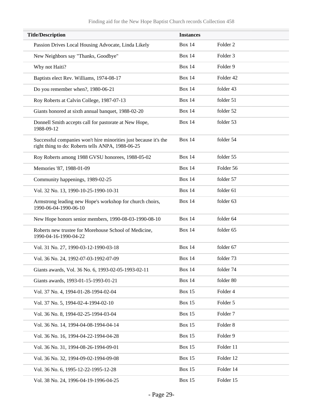| <b>Title/Description</b>                                                                                              | <b>Instances</b> |                     |
|-----------------------------------------------------------------------------------------------------------------------|------------------|---------------------|
| Passion Drives Local Housing Advocate, Linda Likely                                                                   | <b>Box 14</b>    | Folder <sub>2</sub> |
| New Neighbors say "Thanks, Goodbye"                                                                                   | <b>Box 14</b>    | Folder <sub>3</sub> |
| Why not Haiti?                                                                                                        | <b>Box 14</b>    | Folder 9            |
| Baptists elect Rev. Williams, 1974-08-17                                                                              | <b>Box 14</b>    | Folder 42           |
| Do you remember when?, 1980-06-21                                                                                     | <b>Box 14</b>    | folder 43           |
| Roy Roberts at Calvin College, 1987-07-13                                                                             | <b>Box 14</b>    | folder 51           |
| Giants honored at sixth annual banquet, 1988-02-20                                                                    | <b>Box 14</b>    | folder 52           |
| Donnell Smith accepts call for pastorate at New Hope,<br>1988-09-12                                                   | <b>Box 14</b>    | folder 53           |
| Successful companies won't hire minorities just because it's the<br>right thing to do: Roberts tells ANPA, 1988-06-25 | <b>Box 14</b>    | folder 54           |
| Roy Roberts among 1988 GVSU honorees, 1988-05-02                                                                      | <b>Box 14</b>    | folder 55           |
| Memories '87, 1988-01-09                                                                                              | <b>Box 14</b>    | Folder 56           |
| Community happenings, 1989-02-25                                                                                      | <b>Box 14</b>    | folder 57           |
| Vol. 32 No. 13, 1990-10-25-1990-10-31                                                                                 | <b>Box 14</b>    | folder 61           |
| Armstrong leading new Hope's workshop for church choirs,<br>1990-06-04-1990-06-10                                     | <b>Box 14</b>    | folder 63           |
| New Hope honors senior members, 1990-08-03-1990-08-10                                                                 | <b>Box 14</b>    | folder 64           |
| Roberts new trustee for Morehouse School of Medicine,<br>1990-04-16-1990-04-22                                        | <b>Box 14</b>    | folder 65           |
| Vol. 31 No. 27, 1990-03-12-1990-03-18                                                                                 | <b>Box 14</b>    | folder 67           |
| Vol. 36 No. 24, 1992-07-03-1992-07-09                                                                                 | <b>Box 14</b>    | folder 73           |
| Giants awards, Vol. 36 No. 6, 1993-02-05-1993-02-11                                                                   | <b>Box 14</b>    | folder 74           |
| Giants awards, 1993-01-15-1993-01-21                                                                                  | <b>Box 14</b>    | folder 80           |
| Vol. 37 No. 4, 1994-01-28-1994-02-04                                                                                  | <b>Box 15</b>    | Folder 4            |
| Vol. 37 No. 5, 1994-02-4-1994-02-10                                                                                   | <b>Box 15</b>    | Folder 5            |
| Vol. 36 No. 8, 1994-02-25-1994-03-04                                                                                  | <b>Box 15</b>    | Folder <sub>7</sub> |
| Vol. 36 No. 14, 1994-04-08-1994-04-14                                                                                 | <b>Box 15</b>    | Folder 8            |
| Vol. 36 No. 16, 1994-04-22-1994-04-28                                                                                 | <b>Box 15</b>    | Folder 9            |
| Vol. 36 No. 31, 1994-08-26-1994-09-01                                                                                 | <b>Box 15</b>    | Folder 11           |
| Vol. 36 No. 32, 1994-09-02-1994-09-08                                                                                 | <b>Box 15</b>    | Folder 12           |
| Vol. 36 No. 6, 1995-12-22-1995-12-28                                                                                  | Box 15           | Folder 14           |
| Vol. 38 No. 24, 1996-04-19-1996-04-25                                                                                 | <b>Box 15</b>    | Folder 15           |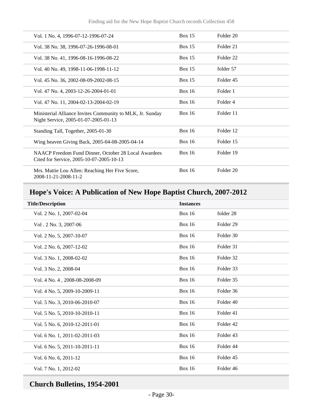| Vol. 1 No. 4, 1996-07-12-1996-07-24                                                               | Box $15$      | Folder 20            |
|---------------------------------------------------------------------------------------------------|---------------|----------------------|
| Vol. 38 No. 38, 1996-07-26-1996-08-01                                                             | Box $15$      | Folder 21            |
| Vol. 38 No. 41, 1996-08-16-1996-08-22                                                             | Box $15$      | Folder <sub>22</sub> |
| Vol. 40 No. 49, 1998-11-06-1998-11-12                                                             | <b>Box 15</b> | folder 57            |
| Vol. 45 No. 36, 2002-08-09-2002-08-15                                                             | Box $15$      | Folder <sub>45</sub> |
| Vol. 47 No. 4, 2003-12-26-2004-01-01                                                              | Box $16$      | Folder 1             |
| Vol. 47 No. 11, 2004-02-13-2004-02-19                                                             | Box $16$      | Folder 4             |
| Ministerial Alliance Invites Community to MLK, Jr. Sunday<br>Night Service, 2005-01-07-2005-01-13 | Box $16$      | Folder 11            |
| Standing Tall, Together, 2005-01-30                                                               | Box $16$      | Folder 12            |
| Wing heaven Giving Back, 2005-04-08-2005-04-14                                                    | Box $16$      | Folder 15            |
| NAACP Freedom Fund Dinner, October 28 Local Awardees<br>Cited for Service, 2005-10-07-2005-10-13  | Box $16$      | Folder 19            |
| Mrs. Mattie Lou Allen: Reaching Her Five Score,<br>2008-11-21-2008-11-2                           | Box $16$      | Folder 20            |

# <span id="page-29-0"></span>**Hope's Voice: A Publication of New Hope Baptist Church, 2007-2012**

| <b>Title/Description</b>      | <b>Instances</b> |                      |
|-------------------------------|------------------|----------------------|
| Vol. 2 No. 1, 2007-02-04      | <b>Box 16</b>    | folder 28            |
| Vol. 2 No. 3, 2007-06         | <b>Box 16</b>    | Folder <sub>29</sub> |
| Vol. 2 No. 5, 2007-10-07      | <b>Box 16</b>    | Folder 30            |
| Vol. 2 No. 6, 2007-12-02      | <b>Box 16</b>    | Folder 31            |
| Vol. 3 No. 1, 2008-02-02      | <b>Box 16</b>    | Folder 32            |
| Vol. 3 No. 2, 2008-04         | <b>Box 16</b>    | Folder 33            |
| Vol. 4 No. 4, 2008-08-2008-09 | <b>Box 16</b>    | Folder 35            |
| Vol. 4 No. 5, 2009-10-2009-11 | <b>Box 16</b>    | Folder 36            |
| Vol. 5 No. 3, 2010-06-2010-07 | <b>Box 16</b>    | Folder 40            |
| Vol. 5 No. 5, 2010-10-2010-11 | <b>Box 16</b>    | Folder 41            |
| Vol. 5 No. 6, 2010-12-2011-01 | <b>Box 16</b>    | Folder <sub>42</sub> |
| Vol. 6 No. 1, 2011-02-2011-03 | <b>Box 16</b>    | Folder 43            |
| Vol. 6 No. 5, 2011-10-2011-11 | <b>Box 16</b>    | Folder 44            |
| Vol. 6 No. 6, 2011-12         | <b>Box 16</b>    | Folder 45            |
| Vol. 7 No. 1, 2012-02         | <b>Box 16</b>    | Folder 46            |
|                               |                  |                      |

# <span id="page-29-1"></span>**Church Bulletins, 1954-2001**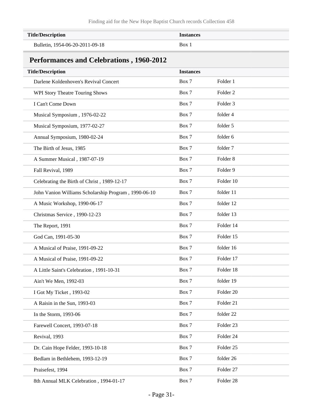<span id="page-30-0"></span>

| <b>Title/Description</b>                             | <b>Instances</b> |                     |
|------------------------------------------------------|------------------|---------------------|
| Bulletin, 1954-06-20-2011-09-18                      | Box 1            |                     |
|                                                      |                  |                     |
| <b>Performances and Celebrations, 1960-2012</b>      |                  |                     |
| <b>Title/Description</b>                             | <b>Instances</b> |                     |
| Darlene Koldenhoven's Revival Concert                | Box 7            | Folder 1            |
| WPI Story Theatre Touring Shows                      | Box 7            | Folder <sub>2</sub> |
| I Can't Come Down                                    | Box 7            | Folder <sub>3</sub> |
| Musical Symposium, 1976-02-22                        | Box 7            | folder 4            |
| Musical Symposium, 1977-02-27                        | Box 7            | folder 5            |
| Annual Symposium, 1980-02-24                         | Box 7            | folder 6            |
| The Birth of Jesus, 1985                             | Box 7            | folder 7            |
| A Summer Musical, 1987-07-19                         | Box 7            | Folder <sub>8</sub> |
| Fall Revival, 1989                                   | Box 7            | Folder 9            |
| Celebrating the Birth of Christ, 1989-12-17          | Box 7            | Folder 10           |
| John Vanion Williams Scholarship Program, 1990-06-10 | Box 7            | folder 11           |
| A Music Workshop, 1990-06-17                         | Box 7            | folder 12           |
| Christmas Service, 1990-12-23                        | Box 7            | folder 13           |
| The Report, 1991                                     | Box 7            | Folder 14           |
| God Can, 1991-05-30                                  | Box 7            | Folder 15           |
| A Musical of Praise, 1991-09-22                      | Box 7            | folder 16           |
| A Musical of Praise, 1991-09-22                      | Box 7            | Folder 17           |
| A Little Saint's Celebration, 1991-10-31             | Box 7            | Folder 18           |
| Ain't We Men, 1992-03                                | Box 7            | folder 19           |
| I Got My Ticket, 1993-02                             | Box 7            | Folder 20           |
| A Raisin in the Sun, 1993-03                         | Box 7            | Folder 21           |
| In the Storm, 1993-06                                | Box 7            | folder 22           |
| Farewell Concert, 1993-07-18                         | Box 7            | Folder 23           |
| Revival, 1993                                        | Box 7            | Folder 24           |
| Dr. Cain Hope Felder, 1993-10-18                     | Box 7            | Folder 25           |
| Bedlam in Bethlehem, 1993-12-19                      | Box 7            | folder 26           |
| Praisefest, 1994                                     | Box 7            | Folder 27           |
| 8th Annual MLK Celebration, 1994-01-17               | Box 7            | Folder 28           |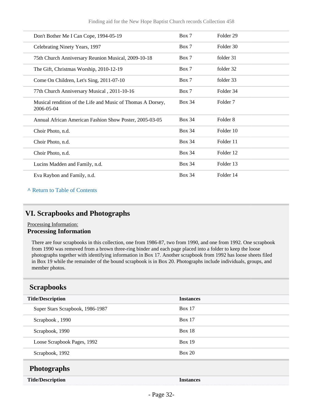| Don't Bother Me I Can Cope, 1994-05-19                                    | Box 7         | Folder 29           |
|---------------------------------------------------------------------------|---------------|---------------------|
| Celebrating Ninety Years, 1997                                            | Box 7         | Folder 30           |
| 75th Church Anniversary Reunion Musical, 2009-10-18                       | Box 7         | folder 31           |
| The Gift, Christmas Worship, 2010-12-19                                   | Box 7         | folder 32           |
| Come On Children, Let's Sing, 2011-07-10                                  | Box 7         | folder 33           |
| 77th Church Anniversary Musical, 2011-10-16                               | Box 7         | Folder 34           |
| Musical rendition of the Life and Music of Thomas A Dorsey,<br>2006-05-04 | <b>Box 34</b> | Folder <sub>7</sub> |
| Annual African American Fashion Show Poster, 2005-03-05                   | <b>Box 34</b> | Folder 8            |
| Choir Photo, n.d.                                                         | <b>Box 34</b> | Folder 10           |
| Choir Photo, n.d.                                                         | <b>Box 34</b> | Folder 11           |
| Choir Photo, n.d.                                                         | <b>Box 34</b> | Folder 12           |
| Lucins Madden and Family, n.d.                                            | <b>Box 34</b> | Folder 13           |
| Eva Raybon and Family, n.d.                                               | <b>Box 34</b> | Folder 14           |

### <span id="page-31-0"></span>**VI. Scrapbooks and Photographs**

#### Processing Information: **Processing Information**

There are four scrapbooks in this collection, one from 1986-87, two from 1990, and one from 1992. One scrapbook from 1990 was removed from a brown three-ring binder and each page placed into a folder to keep the loose photographs together with identifying information in Box 17. Another scrapbook from 1992 has loose sheets filed in Box 19 while the remainder of the bound scrapbook is in Box 20. Photographs include individuals, groups, and member photos.

### <span id="page-31-1"></span>**Scrapbooks**

<span id="page-31-2"></span>

| <b>Title/Description</b>         | <b>Instances</b> |  |
|----------------------------------|------------------|--|
| Super Stars Scrapbook, 1986-1987 | <b>Box 17</b>    |  |
| Scrapbook, 1990                  | Box $17$         |  |
| Scrapbook, 1990                  | Box $18$         |  |
| Loose Scrapbook Pages, 1992      | Box $19$         |  |
| Scrapbook, 1992                  | Box 20           |  |
| <b>Photographs</b>               |                  |  |
| <b>Title/Description</b>         | <b>Instances</b> |  |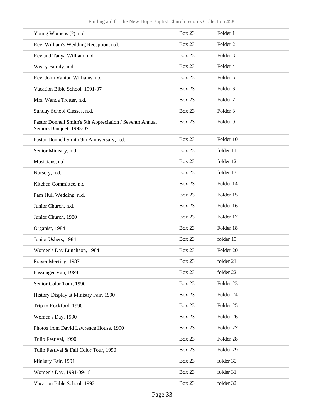| Finding aid for the New Hope Baptist Church records Collection 458 |  |  |  |
|--------------------------------------------------------------------|--|--|--|
|                                                                    |  |  |  |

| Young Womens (?), n.d.                                                               | <b>Box 23</b> | Folder 1             |
|--------------------------------------------------------------------------------------|---------------|----------------------|
| Rev. William's Wedding Reception, n.d.                                               | <b>Box 23</b> | Folder <sub>2</sub>  |
| Rev and Tanya William, n.d.                                                          | <b>Box 23</b> | Folder <sub>3</sub>  |
| Weary Family, n.d.                                                                   | <b>Box 23</b> | Folder 4             |
| Rev. John Vanion Williams, n.d.                                                      | <b>Box 23</b> | Folder 5             |
| Vacation Bible School, 1991-07                                                       | <b>Box 23</b> | Folder 6             |
| Mrs. Wanda Trotter, n.d.                                                             | <b>Box 23</b> | Folder <sub>7</sub>  |
| Sunday School Classes, n.d.                                                          | <b>Box 23</b> | Folder <sub>8</sub>  |
| Pastor Donnell Smith's 5th Appreciation / Seventh Annual<br>Seniors Banquet, 1993-07 | <b>Box 23</b> | Folder 9             |
| Pastor Donnell Smith 9th Anniversary, n.d.                                           | <b>Box 23</b> | Folder 10            |
| Senior Ministry, n.d.                                                                | <b>Box 23</b> | folder 11            |
| Musicians, n.d.                                                                      | <b>Box 23</b> | folder 12            |
| Nursery, n.d.                                                                        | <b>Box 23</b> | folder 13            |
| Kitchen Committee, n.d.                                                              | <b>Box 23</b> | Folder 14            |
| Pam Hull Wedding, n.d.                                                               | <b>Box 23</b> | Folder 15            |
| Junior Church, n.d.                                                                  | <b>Box 23</b> | Folder 16            |
| Junior Church, 1980                                                                  | <b>Box 23</b> | Folder 17            |
| Organist, 1984                                                                       | <b>Box 23</b> | Folder 18            |
| Junior Ushers, 1984                                                                  | <b>Box 23</b> | folder 19            |
| Women's Day Luncheon, 1984                                                           | <b>Box 23</b> | Folder <sub>20</sub> |
| Prayer Meeting, 1987                                                                 | <b>Box 23</b> | folder 21            |
| Passenger Van, 1989                                                                  | <b>Box 23</b> | folder 22            |
| Senior Color Tour, 1990                                                              | Box 23        | Folder 23            |
| History Display at Ministry Fair, 1990                                               | Box 23        | Folder 24            |
| Trip to Rockford, 1990                                                               | Box 23        | Folder 25            |
| Women's Day, 1990                                                                    | Box 23        | Folder 26            |
| Photos from David Lawrence House, 1990                                               | Box 23        | Folder 27            |
| Tulip Festival, 1990                                                                 | Box 23        | Folder 28            |
| Tulip Festival & Fall Color Tour, 1990                                               | Box 23        | Folder 29            |
| Ministry Fair, 1991                                                                  | Box 23        | folder 30            |
| Women's Day, 1991-09-18                                                              | <b>Box 23</b> | folder 31            |
| Vacation Bible School, 1992                                                          | Box 23        | folder 32            |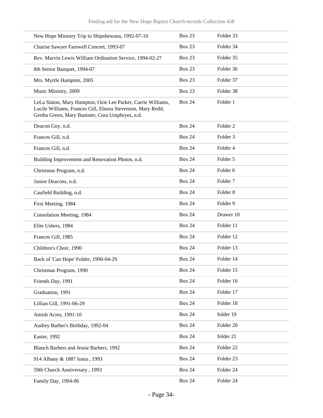| New Hope Ministry Trip to Shipshewana, 1992-07-10                                                                                                                               | <b>Box 23</b> | Folder 33            |
|---------------------------------------------------------------------------------------------------------------------------------------------------------------------------------|---------------|----------------------|
| Charise Sawyer Farewell Concert, 1993-07                                                                                                                                        | <b>Box 23</b> | Folder 34            |
| Rev. Marvin Lewis William Ordination Service, 1994-02-27                                                                                                                        | <b>Box 23</b> | Folder 35            |
| 8th Senior Banquet, 1994-07                                                                                                                                                     | <b>Box 23</b> | Folder 36            |
| Mrs. Myrtle Hampton, 2005                                                                                                                                                       | <b>Box 23</b> | Folder 37            |
| Music Ministry, 2009                                                                                                                                                            | <b>Box 23</b> | Folder 38            |
| LeLa Slaton, Mary Hampton, Ozie Lee Parker, Carrie Williams,<br>Lucile Williams, Frances Gill, Elnora Stevenson, Mary Redd,<br>Gertha Green, Mary Banister, Cora Umphryes, n.d. | <b>Box 24</b> | Folder 1             |
| Deacon Guy, n.d.                                                                                                                                                                | <b>Box 24</b> | Folder <sub>2</sub>  |
| Frances Gill, n.d.                                                                                                                                                              | <b>Box 24</b> | Folder <sub>3</sub>  |
| Frances Gill, n.d.                                                                                                                                                              | <b>Box 24</b> | Folder 4             |
| Building Improvement and Renovation Photos, n.d.                                                                                                                                | <b>Box 24</b> | Folder 5             |
| Christmas Program, n.d.                                                                                                                                                         | <b>Box 24</b> | Folder <sub>6</sub>  |
| Junior Deacons, n.d.                                                                                                                                                            | <b>Box 24</b> | Folder <sub>7</sub>  |
| Caufield Building, n.d.                                                                                                                                                         | <b>Box 24</b> | Folder <sub>8</sub>  |
| First Meeting, 1984                                                                                                                                                             | <b>Box 24</b> | Folder 9             |
| Consolation Meeting, 1984                                                                                                                                                       | <b>Box 24</b> | Drawer 10            |
| Elite Ushers, 1984                                                                                                                                                              | <b>Box 24</b> | Folder 11            |
| Frances Gill, 1985                                                                                                                                                              | <b>Box 24</b> | Folder 12            |
| Children's Choir, 1990                                                                                                                                                          | <b>Box 24</b> | Folder 13            |
| Back of 'Can Hope' Folder, 1990-04-29                                                                                                                                           | <b>Box 24</b> | Folder 14            |
| Christmas Program, 1990                                                                                                                                                         | <b>Box 24</b> | Folder 15            |
| Friends Day, 1991                                                                                                                                                               | <b>Box 24</b> | Folder 16            |
| Graduation, 1991                                                                                                                                                                | <b>Box 24</b> | Folder 17            |
| Lillian Gill, 1991-06-29                                                                                                                                                        | <b>Box 24</b> | Folder 18            |
| Amish Acres, 1991-10                                                                                                                                                            | <b>Box 24</b> | folder 19            |
| Audrey Barber's Birthday, 1992-04                                                                                                                                               | <b>Box 24</b> | Folder 20            |
| Easter, 1992                                                                                                                                                                    | <b>Box 24</b> | folder 21            |
| Blanch Barbers and Jessie Barbers, 1992                                                                                                                                         | <b>Box 24</b> | Folder <sub>22</sub> |
| 914 Albany & 1887 Ionia, 1993                                                                                                                                                   | <b>Box 24</b> | Folder 23            |
| 59th Church Anniversary, 1993                                                                                                                                                   | <b>Box 24</b> | Folder 24            |
| Family Day, 1994-06                                                                                                                                                             | <b>Box 24</b> | Folder 24            |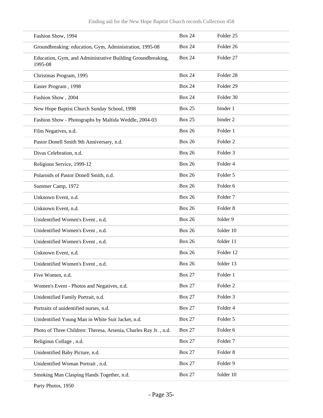| Fashion Show, 1994                                                     | <b>Box 24</b> | Folder <sub>25</sub> |
|------------------------------------------------------------------------|---------------|----------------------|
| Groundbreaking: education, Gym, Administration, 1995-08                | <b>Box 24</b> | Folder <sub>26</sub> |
| Education, Gym, and Administrative Building Groundbreaking,<br>1995-08 | <b>Box 24</b> | Folder 27            |
| Christmas Program, 1995                                                | <b>Box 24</b> | Folder <sub>28</sub> |
| Easter Program, 1998                                                   | <b>Box 24</b> | Folder <sub>29</sub> |
| Fashion Show, 2004                                                     | <b>Box 24</b> | Folder 30            |
| New Hope Baptist Church Sunday School, 1998                            | <b>Box 25</b> | binder 1             |
| Fashion Show - Photographs by Maltida Weddle, 2004-03                  | <b>Box 25</b> | binder 2             |
| Film Negatives, n.d.                                                   | <b>Box 26</b> | Folder 1             |
| Pastor Donell Smith 9th Anniversary, n.d.                              | <b>Box 26</b> | Folder <sub>2</sub>  |
| Divas Celebration, n.d.                                                | <b>Box 26</b> | Folder <sub>3</sub>  |
| Religious Service, 1999-12                                             | <b>Box 26</b> | Folder 4             |
| Polaroids of Pastor Donell Smith, n.d.                                 | <b>Box 26</b> | Folder 5             |
| Summer Camp, 1972                                                      | <b>Box 26</b> | Folder <sub>6</sub>  |
| Unknown Event, n.d.                                                    | <b>Box 26</b> | Folder <sub>7</sub>  |
| Unknown Event, n.d.                                                    | <b>Box 26</b> | Folder <sub>8</sub>  |
| Unidentified Women's Event, n.d.                                       | <b>Box 26</b> | folder 9             |
| Unidentified Women's Event, n.d.                                       | <b>Box 26</b> | folder 10            |
| Unidentified Women's Event, n.d.                                       | <b>Box 26</b> | folder 11            |
| Unknown Event, n.d.                                                    | <b>Box 26</b> | Folder 12            |
| Unidentified Women's Event, n.d.                                       | <b>Box 26</b> | folder 13            |
| Five Women, n.d.                                                       | <b>Box 27</b> | Folder 1             |
| Women's Event - Photos and Negatives, n.d.                             | <b>Box 27</b> | Folder <sub>2</sub>  |
| Unidentified Family Portrait, n.d.                                     | <b>Box 27</b> | Folder 3             |
| Portraits of unidentified nurses, n.d.                                 | <b>Box 27</b> | Folder 4             |
| Unidentified Young Man in White Suit Jacket, n.d.                      | <b>Box 27</b> | Folder 5             |
| Photo of Three Children: Theresa, Arsenia, Charles Ray Jr., n.d.       | <b>Box 27</b> | Folder 6             |
| Religious Collage, n.d.                                                | <b>Box 27</b> | Folder <sub>7</sub>  |
| Unidentified Baby Picture, n.d.                                        | <b>Box 27</b> | Folder <sub>8</sub>  |
| Unidentified Woman Portrait, n.d.                                      | <b>Box 27</b> | Folder 9             |
| Smoking Man Clasping Hands Together, n.d.                              | <b>Box 27</b> | folder 10            |
|                                                                        |               |                      |

Party Photos, 1950